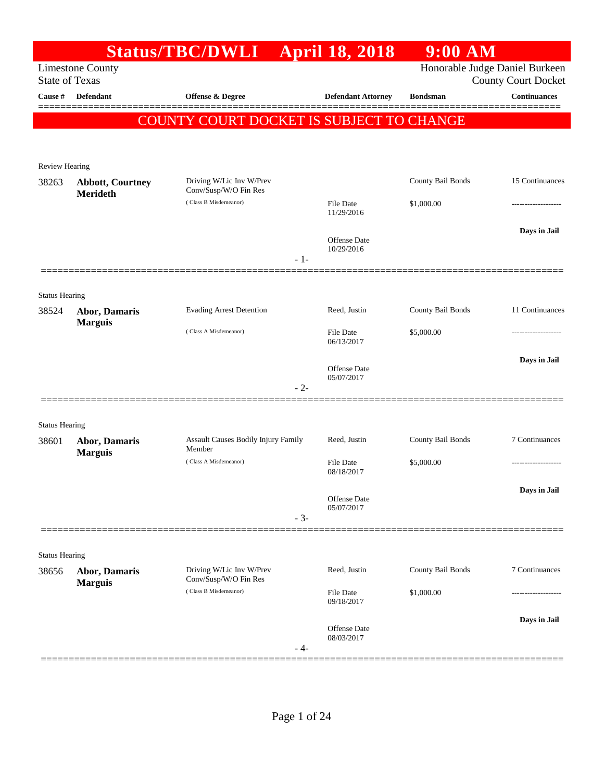|                                |                                     | <b>Status/TBC/DWLI</b>                            |       | <b>April 18, 2018</b>          | $9:00$ AM         |                                                              |
|--------------------------------|-------------------------------------|---------------------------------------------------|-------|--------------------------------|-------------------|--------------------------------------------------------------|
| <b>State of Texas</b>          | <b>Limestone County</b>             |                                                   |       |                                |                   | Honorable Judge Daniel Burkeen<br><b>County Court Docket</b> |
| Cause #                        | <b>Defendant</b>                    | <b>Offense &amp; Degree</b>                       |       | <b>Defendant Attorney</b>      | <b>Bondsman</b>   | <b>Continuances</b>                                          |
|                                |                                     | COUNTY COURT DOCKET IS SUBJECT TO CHANGE          |       |                                |                   |                                                              |
|                                |                                     |                                                   |       |                                |                   |                                                              |
| <b>Review Hearing</b>          |                                     |                                                   |       |                                |                   |                                                              |
| 38263                          | <b>Abbott, Courtney</b><br>Merideth | Driving W/Lic Inv W/Prev<br>Conv/Susp/W/O Fin Res |       |                                | County Bail Bonds | 15 Continuances                                              |
|                                |                                     | (Class B Misdemeanor)                             |       | File Date<br>11/29/2016        | \$1,000.00        |                                                              |
|                                |                                     |                                                   |       | <b>Offense</b> Date            |                   | Days in Jail                                                 |
|                                |                                     |                                                   | $-1-$ | 10/29/2016                     |                   |                                                              |
|                                |                                     |                                                   |       |                                |                   |                                                              |
| <b>Status Hearing</b><br>38524 | <b>Abor, Damaris</b>                | <b>Evading Arrest Detention</b>                   |       | Reed, Justin                   | County Bail Bonds | 11 Continuances                                              |
|                                | <b>Marguis</b>                      | (Class A Misdemeanor)                             |       | File Date<br>06/13/2017        | \$5,000.00        |                                                              |
|                                |                                     |                                                   |       | Offense Date                   |                   | Days in Jail                                                 |
|                                |                                     |                                                   | $-2-$ | 05/07/2017                     |                   |                                                              |
|                                |                                     |                                                   |       |                                |                   |                                                              |
| <b>Status Hearing</b>          |                                     |                                                   |       |                                |                   |                                                              |
| 38601                          | Abor, Damaris<br><b>Marguis</b>     | Assault Causes Bodily Injury Family<br>Member     |       | Reed, Justin                   | County Bail Bonds | 7 Continuances                                               |
|                                |                                     | (Class A Misdemeanor)                             |       | File Date<br>08/18/2017        | \$5,000.00        | -----------------                                            |
|                                |                                     |                                                   |       | Offense Date                   |                   | Days in Jail                                                 |
|                                |                                     |                                                   | $-3-$ | 05/07/2017                     |                   |                                                              |
|                                |                                     |                                                   |       |                                |                   |                                                              |
| <b>Status Hearing</b>          |                                     |                                                   |       |                                |                   |                                                              |
| 38656                          | Abor, Damaris<br><b>Marguis</b>     | Driving W/Lic Inv W/Prev<br>Conv/Susp/W/O Fin Res |       | Reed, Justin                   | County Bail Bonds | 7 Continuances                                               |
|                                |                                     | (Class B Misdemeanor)                             |       | <b>File Date</b><br>09/18/2017 | \$1,000.00        |                                                              |
|                                |                                     |                                                   |       | Offense Date                   |                   | Days in Jail                                                 |
|                                |                                     |                                                   | - 4-  | 08/03/2017                     |                   |                                                              |
|                                |                                     |                                                   |       |                                |                   |                                                              |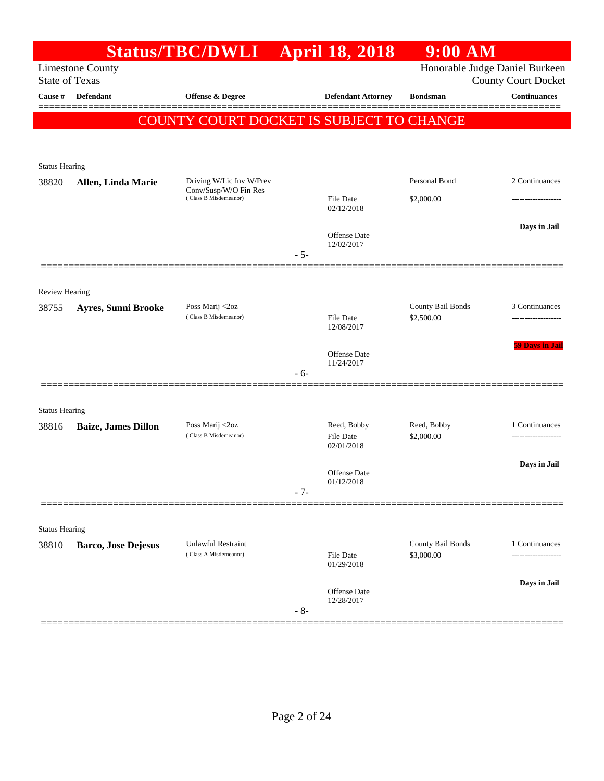|                       |                            | Status/TBC/DWLI                                   |       | <b>April 18, 2018</b>           | $9:00$ AM                       |                                                              |
|-----------------------|----------------------------|---------------------------------------------------|-------|---------------------------------|---------------------------------|--------------------------------------------------------------|
| <b>State of Texas</b> | <b>Limestone County</b>    |                                                   |       |                                 |                                 | Honorable Judge Daniel Burkeen<br><b>County Court Docket</b> |
| Cause #               | Defendant                  | <b>Offense &amp; Degree</b>                       |       | <b>Defendant Attorney</b>       | <b>Bondsman</b>                 | <b>Continuances</b>                                          |
|                       |                            | COUNTY COURT DOCKET IS SUBJECT TO CHANGE          |       |                                 |                                 | =======                                                      |
|                       |                            |                                                   |       |                                 |                                 |                                                              |
| <b>Status Hearing</b> |                            |                                                   |       |                                 |                                 |                                                              |
| 38820                 | Allen, Linda Marie         | Driving W/Lic Inv W/Prev<br>Conv/Susp/W/O Fin Res |       |                                 | Personal Bond                   | 2 Continuances                                               |
|                       |                            | (Class B Misdemeanor)                             |       | File Date<br>02/12/2018         | \$2,000.00                      |                                                              |
|                       |                            |                                                   |       |                                 |                                 | Days in Jail                                                 |
|                       |                            |                                                   |       | Offense Date<br>12/02/2017      |                                 |                                                              |
|                       |                            |                                                   | $-5-$ |                                 |                                 |                                                              |
| Review Hearing        |                            |                                                   |       |                                 |                                 |                                                              |
| 38755                 | <b>Ayres, Sunni Brooke</b> | Poss Marij <2oz                                   |       |                                 | County Bail Bonds               | 3 Continuances                                               |
|                       |                            | (Class B Misdemeanor)                             |       | File Date<br>12/08/2017         | \$2,500.00                      |                                                              |
|                       |                            |                                                   |       | <b>Offense Date</b>             |                                 | <b>59 Days in Jail</b>                                       |
|                       |                            |                                                   | $-6-$ | 11/24/2017                      |                                 |                                                              |
|                       |                            |                                                   |       |                                 |                                 |                                                              |
| <b>Status Hearing</b> |                            |                                                   |       |                                 |                                 |                                                              |
| 38816                 | <b>Baize, James Dillon</b> | Poss Marij <2oz<br>(Class B Misdemeanor)          |       | Reed, Bobby<br><b>File Date</b> | Reed, Bobby<br>\$2,000.00       | 1 Continuances                                               |
|                       |                            |                                                   |       | 02/01/2018                      |                                 |                                                              |
|                       |                            |                                                   |       | Offense Date<br>01/12/2018      |                                 | Days in Jail                                                 |
|                       |                            |                                                   | $-7-$ |                                 |                                 |                                                              |
|                       |                            |                                                   |       |                                 |                                 |                                                              |
| <b>Status Hearing</b> |                            |                                                   |       |                                 |                                 |                                                              |
| 38810                 | <b>Barco, Jose Dejesus</b> | Unlawful Restraint<br>(Class A Misdemeanor)       |       | File Date<br>01/29/2018         | County Bail Bonds<br>\$3,000.00 | 1 Continuances<br>------------------                         |
|                       |                            |                                                   |       | Offense Date                    |                                 | Days in Jail                                                 |
|                       |                            |                                                   | $-8-$ | 12/28/2017                      |                                 |                                                              |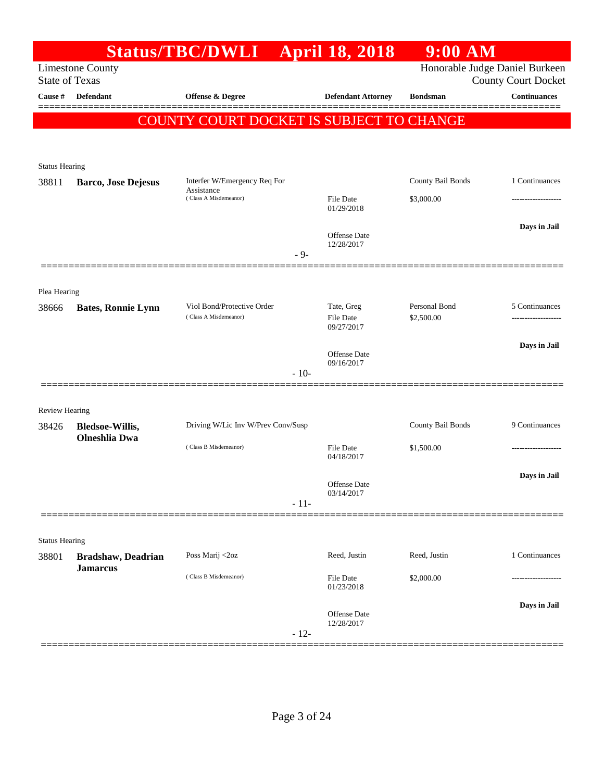| <b>State of Texas</b> | <b>Limestone County</b>                        | Status/TBC/DWLI April 18, 2018                      |        |                                              | $9:00$ AM                   | Honorable Judge Daniel Burkeen<br><b>County Court Docket</b> |
|-----------------------|------------------------------------------------|-----------------------------------------------------|--------|----------------------------------------------|-----------------------------|--------------------------------------------------------------|
| Cause #               | <b>Defendant</b>                               | <b>Offense &amp; Degree</b>                         |        | <b>Defendant Attorney</b>                    | <b>Bondsman</b>             | <b>Continuances</b>                                          |
|                       |                                                | COUNTY COURT DOCKET IS SUBJECT TO CHANGE            |        |                                              |                             |                                                              |
| <b>Status Hearing</b> |                                                |                                                     |        |                                              |                             |                                                              |
| 38811                 | <b>Barco, Jose Dejesus</b>                     | Interfer W/Emergency Req For<br>Assistance          |        |                                              | County Bail Bonds           | 1 Continuances                                               |
|                       |                                                | (Class A Misdemeanor)                               |        | <b>File Date</b><br>01/29/2018               | \$3,000.00                  |                                                              |
|                       |                                                |                                                     | $-9-$  | <b>Offense</b> Date<br>12/28/2017            |                             | Days in Jail                                                 |
| Plea Hearing          |                                                |                                                     |        |                                              |                             |                                                              |
| 38666                 | <b>Bates, Ronnie Lynn</b>                      | Viol Bond/Protective Order<br>(Class A Misdemeanor) |        | Tate, Greg<br><b>File Date</b><br>09/27/2017 | Personal Bond<br>\$2,500.00 | 5 Continuances                                               |
|                       |                                                |                                                     |        | <b>Offense</b> Date                          |                             | Days in Jail                                                 |
|                       |                                                |                                                     | $-10-$ | 09/16/2017                                   |                             |                                                              |
| Review Hearing        |                                                |                                                     |        |                                              |                             |                                                              |
| 38426                 | <b>Bledsoe-Willis,</b><br><b>Olneshlia Dwa</b> | Driving W/Lic Inv W/Prev Conv/Susp                  |        |                                              | County Bail Bonds           | 9 Continuances                                               |
|                       |                                                | (Class B Misdemeanor)                               |        | File Date<br>04/18/2017                      | \$1,500.00                  |                                                              |
|                       |                                                |                                                     |        | Offense Date<br>03/14/2017                   |                             | Days in Jail                                                 |
|                       |                                                |                                                     | $-11-$ |                                              |                             |                                                              |
| <b>Status Hearing</b> |                                                |                                                     |        |                                              |                             |                                                              |
| 38801                 | Bradshaw, Deadrian<br><b>Jamarcus</b>          | Poss Marij <2oz                                     |        | Reed, Justin                                 | Reed, Justin                | 1 Continuances                                               |
|                       |                                                | (Class B Misdemeanor)                               |        | File Date<br>01/23/2018                      | \$2,000.00                  |                                                              |
|                       |                                                |                                                     | $-12-$ | Offense Date<br>12/28/2017                   |                             | Days in Jail                                                 |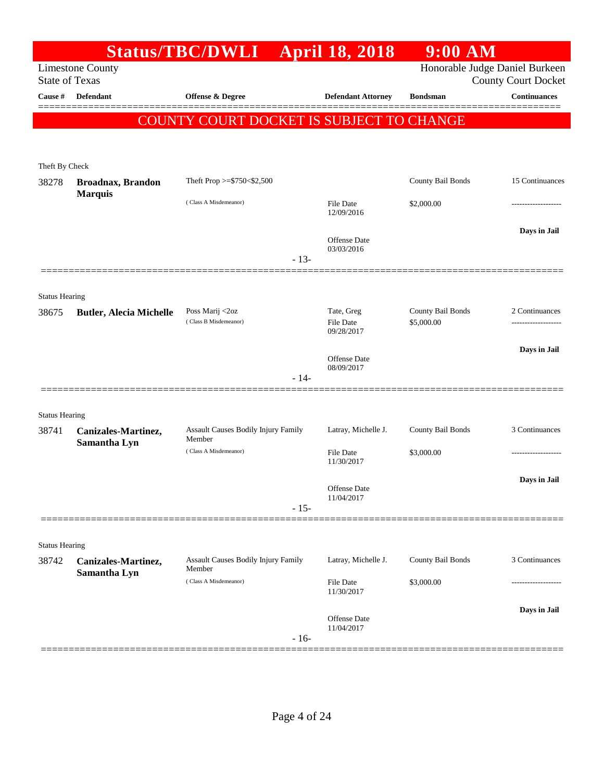|                                |                                                  | Status/TBC/DWLI April 18, 2018                |        |                                       | 9:00 AM                         |                            |
|--------------------------------|--------------------------------------------------|-----------------------------------------------|--------|---------------------------------------|---------------------------------|----------------------------|
|                                | <b>Limestone County</b><br><b>State of Texas</b> |                                               |        |                                       | Honorable Judge Daniel Burkeen  | <b>County Court Docket</b> |
| Cause #                        | <b>Defendant</b>                                 | Offense & Degree                              |        | <b>Defendant Attorney</b>             | <b>Bondsman</b>                 | <b>Continuances</b>        |
|                                |                                                  | COUNTY COURT DOCKET IS SUBJECT TO CHANGE      |        |                                       |                                 |                            |
|                                |                                                  |                                               |        |                                       |                                 |                            |
| Theft By Check                 |                                                  |                                               |        |                                       |                                 |                            |
| 38278                          | <b>Broadnax, Brandon</b>                         | Theft Prop >= $$750<$2,500$                   |        |                                       | County Bail Bonds               | 15 Continuances            |
|                                | <b>Marquis</b>                                   | (Class A Misdemeanor)                         |        | File Date<br>12/09/2016               | \$2,000.00                      | ------------------         |
|                                |                                                  |                                               |        | <b>Offense Date</b><br>03/03/2016     |                                 | Days in Jail               |
|                                |                                                  |                                               | $-13-$ |                                       |                                 |                            |
|                                |                                                  |                                               |        |                                       |                                 |                            |
| <b>Status Hearing</b><br>38675 | <b>Butler, Alecia Michelle</b>                   | Poss Marij <2oz<br>(Class B Misdemeanor)      |        | Tate, Greg<br>File Date<br>09/28/2017 | County Bail Bonds<br>\$5,000.00 | 2 Continuances             |
|                                |                                                  |                                               |        | <b>Offense Date</b>                   |                                 | Days in Jail               |
|                                |                                                  |                                               | $-14-$ | 08/09/2017                            |                                 |                            |
|                                |                                                  |                                               |        |                                       |                                 |                            |
| <b>Status Hearing</b><br>38741 | Canizales-Martinez,                              | Assault Causes Bodily Injury Family           |        | Latray, Michelle J.                   | County Bail Bonds               | 3 Continuances             |
|                                | Samantha Lyn                                     | Member<br>(Class A Misdemeanor)               |        | File Date<br>11/30/2017               | \$3,000.00                      |                            |
|                                |                                                  |                                               |        | Offense Date<br>11/04/2017            |                                 | Days in Jail               |
|                                |                                                  |                                               | $-15-$ |                                       |                                 |                            |
| <b>Status Hearing</b>          |                                                  |                                               |        |                                       |                                 |                            |
| 38742                          | Canizales-Martinez,<br>Samantha Lyn              | Assault Causes Bodily Injury Family<br>Member |        | Latray, Michelle J.                   | County Bail Bonds               | 3 Continuances             |
|                                |                                                  | (Class A Misdemeanor)                         |        | <b>File Date</b><br>11/30/2017        | \$3,000.00                      |                            |
|                                |                                                  |                                               |        | <b>Offense Date</b><br>11/04/2017     |                                 | Days in Jail               |
|                                |                                                  |                                               | $-16-$ |                                       |                                 |                            |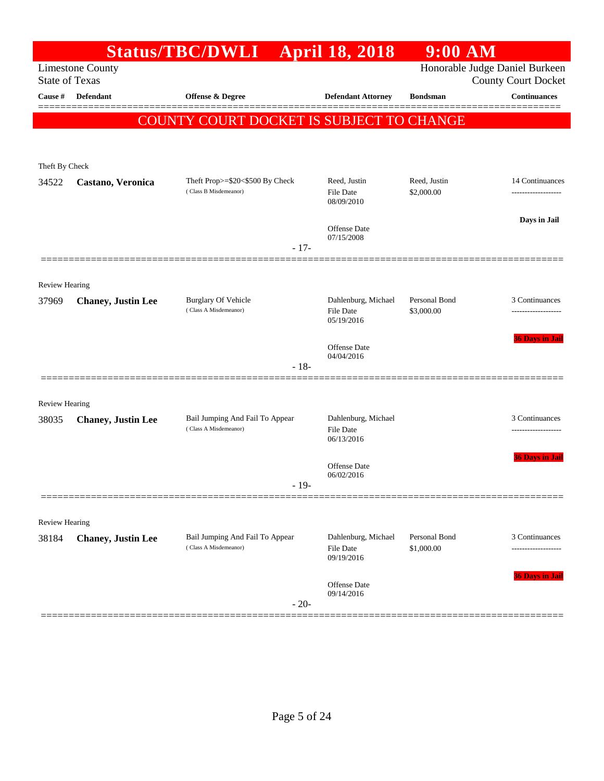| Theft Prop>=\$20<\$500 By Check | <b>Defendant Attorney</b><br>COUNTY COURT DOCKET IS SUBJECT TO CHANGE<br>Reed, Justin | <b>Bondsman</b>                                                                                                                                                                  | Honorable Judge Daniel Burkeen<br><b>County Court Docket</b><br><b>Continuances</b> |
|---------------------------------|---------------------------------------------------------------------------------------|----------------------------------------------------------------------------------------------------------------------------------------------------------------------------------|-------------------------------------------------------------------------------------|
|                                 |                                                                                       |                                                                                                                                                                                  |                                                                                     |
|                                 |                                                                                       |                                                                                                                                                                                  |                                                                                     |
|                                 |                                                                                       |                                                                                                                                                                                  |                                                                                     |
|                                 |                                                                                       |                                                                                                                                                                                  |                                                                                     |
|                                 |                                                                                       |                                                                                                                                                                                  |                                                                                     |
|                                 |                                                                                       |                                                                                                                                                                                  |                                                                                     |
|                                 |                                                                                       | Reed, Justin                                                                                                                                                                     | 14 Continuances                                                                     |
|                                 | 08/09/2010                                                                            |                                                                                                                                                                                  |                                                                                     |
|                                 |                                                                                       |                                                                                                                                                                                  | Days in Jail                                                                        |
|                                 | 07/15/2008                                                                            |                                                                                                                                                                                  |                                                                                     |
|                                 |                                                                                       |                                                                                                                                                                                  |                                                                                     |
|                                 |                                                                                       |                                                                                                                                                                                  |                                                                                     |
|                                 | Dahlenburg, Michael                                                                   | Personal Bond                                                                                                                                                                    | 3 Continuances                                                                      |
|                                 | File Date<br>05/19/2016                                                               | \$3,000.00                                                                                                                                                                       |                                                                                     |
|                                 |                                                                                       |                                                                                                                                                                                  | <b>36 Days in Jail</b>                                                              |
|                                 | 04/04/2016                                                                            |                                                                                                                                                                                  |                                                                                     |
|                                 |                                                                                       |                                                                                                                                                                                  |                                                                                     |
|                                 |                                                                                       |                                                                                                                                                                                  |                                                                                     |
|                                 |                                                                                       |                                                                                                                                                                                  | 3 Continuances                                                                      |
|                                 | <b>File Date</b>                                                                      |                                                                                                                                                                                  | ------------------                                                                  |
|                                 |                                                                                       |                                                                                                                                                                                  | <b>36 Days in Jai</b>                                                               |
|                                 | Offense Date                                                                          |                                                                                                                                                                                  |                                                                                     |
|                                 |                                                                                       |                                                                                                                                                                                  |                                                                                     |
|                                 |                                                                                       |                                                                                                                                                                                  |                                                                                     |
|                                 |                                                                                       |                                                                                                                                                                                  |                                                                                     |
|                                 | File Date                                                                             | Personal Bond<br>\$1,000.00                                                                                                                                                      | 3 Continuances                                                                      |
|                                 | 09/19/2016                                                                            |                                                                                                                                                                                  |                                                                                     |
|                                 | Offense Date                                                                          |                                                                                                                                                                                  | 36 Days in Jail                                                                     |
|                                 |                                                                                       |                                                                                                                                                                                  |                                                                                     |
|                                 | Bail Jumping And Fail To Appear<br>Bail Jumping And Fail To Appear                    | <b>File Date</b><br>Offense Date<br>$-17-$<br>Offense Date<br>$-18-$<br>Dahlenburg, Michael<br>06/13/2016<br>06/02/2016<br>$-19-$<br>Dahlenburg, Michael<br>09/14/2016<br>$-20-$ | \$2,000.00                                                                          |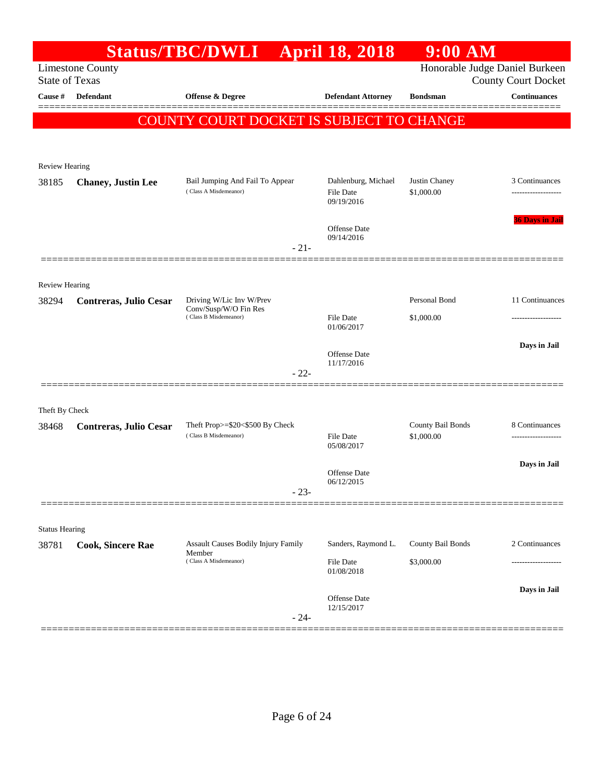| Honorable Judge Daniel Burkeen<br><b>Limestone County</b><br><b>State of Texas</b><br><b>Defendant</b><br>Cause #<br><b>Offense &amp; Degree</b><br><b>Defendant Attorney</b><br><b>Bondsman</b><br>COUNTY COURT DOCKET IS SUBJECT TO CHANGE<br><b>Review Hearing</b><br>Justin Chaney<br>Bail Jumping And Fail To Appear<br>Dahlenburg, Michael<br>38185<br><b>Chaney</b> , Justin Lee<br>(Class A Misdemeanor)<br>\$1,000.00<br>File Date<br>09/19/2016<br><b>Offense Date</b><br>09/14/2016<br>$-21-$<br><b>Review Hearing</b><br>Personal Bond<br>Driving W/Lic Inv W/Prev<br>38294<br><b>Contreras, Julio Cesar</b><br>Conv/Susp/W/O Fin Res<br>(Class B Misdemeanor)<br>File Date<br>\$1,000.00<br>01/06/2017<br>Offense Date<br>11/17/2016<br>$-22-$<br>Theft By Check<br>Theft Prop>=\$20<\$500 By Check<br>County Bail Bonds<br>38468<br>Contreras, Julio Cesar<br>(Class B Misdemeanor)<br>\$1,000.00<br>File Date<br>05/08/2017<br><b>Offense Date</b><br>06/12/2015<br>$-23-$<br><b>Status Hearing</b><br>County Bail Bonds<br><b>Assault Causes Bodily Injury Family</b><br>Sanders, Raymond L.<br>38781<br><b>Cook, Sincere Rae</b><br>Member<br>(Class A Misdemeanor)<br>File Date<br>\$3,000.00<br>01/08/2018<br>Offense Date<br>12/15/2017<br>$-24-$ |  | Status/TBC/DWLI April 18, 2018 | $9:00$ AM |                                      |
|-----------------------------------------------------------------------------------------------------------------------------------------------------------------------------------------------------------------------------------------------------------------------------------------------------------------------------------------------------------------------------------------------------------------------------------------------------------------------------------------------------------------------------------------------------------------------------------------------------------------------------------------------------------------------------------------------------------------------------------------------------------------------------------------------------------------------------------------------------------------------------------------------------------------------------------------------------------------------------------------------------------------------------------------------------------------------------------------------------------------------------------------------------------------------------------------------------------------------------------------------------------------------|--|--------------------------------|-----------|--------------------------------------|
|                                                                                                                                                                                                                                                                                                                                                                                                                                                                                                                                                                                                                                                                                                                                                                                                                                                                                                                                                                                                                                                                                                                                                                                                                                                                       |  |                                |           | <b>County Court Docket</b>           |
|                                                                                                                                                                                                                                                                                                                                                                                                                                                                                                                                                                                                                                                                                                                                                                                                                                                                                                                                                                                                                                                                                                                                                                                                                                                                       |  |                                |           | <b>Continuances</b>                  |
|                                                                                                                                                                                                                                                                                                                                                                                                                                                                                                                                                                                                                                                                                                                                                                                                                                                                                                                                                                                                                                                                                                                                                                                                                                                                       |  |                                |           |                                      |
|                                                                                                                                                                                                                                                                                                                                                                                                                                                                                                                                                                                                                                                                                                                                                                                                                                                                                                                                                                                                                                                                                                                                                                                                                                                                       |  |                                |           |                                      |
|                                                                                                                                                                                                                                                                                                                                                                                                                                                                                                                                                                                                                                                                                                                                                                                                                                                                                                                                                                                                                                                                                                                                                                                                                                                                       |  |                                |           |                                      |
|                                                                                                                                                                                                                                                                                                                                                                                                                                                                                                                                                                                                                                                                                                                                                                                                                                                                                                                                                                                                                                                                                                                                                                                                                                                                       |  |                                |           | 3 Continuances<br>----------------   |
|                                                                                                                                                                                                                                                                                                                                                                                                                                                                                                                                                                                                                                                                                                                                                                                                                                                                                                                                                                                                                                                                                                                                                                                                                                                                       |  |                                |           | <b>36 Days in Jail</b>               |
|                                                                                                                                                                                                                                                                                                                                                                                                                                                                                                                                                                                                                                                                                                                                                                                                                                                                                                                                                                                                                                                                                                                                                                                                                                                                       |  |                                |           |                                      |
|                                                                                                                                                                                                                                                                                                                                                                                                                                                                                                                                                                                                                                                                                                                                                                                                                                                                                                                                                                                                                                                                                                                                                                                                                                                                       |  |                                |           |                                      |
|                                                                                                                                                                                                                                                                                                                                                                                                                                                                                                                                                                                                                                                                                                                                                                                                                                                                                                                                                                                                                                                                                                                                                                                                                                                                       |  |                                |           | 11 Continuances                      |
|                                                                                                                                                                                                                                                                                                                                                                                                                                                                                                                                                                                                                                                                                                                                                                                                                                                                                                                                                                                                                                                                                                                                                                                                                                                                       |  |                                |           |                                      |
|                                                                                                                                                                                                                                                                                                                                                                                                                                                                                                                                                                                                                                                                                                                                                                                                                                                                                                                                                                                                                                                                                                                                                                                                                                                                       |  |                                |           | Days in Jail                         |
|                                                                                                                                                                                                                                                                                                                                                                                                                                                                                                                                                                                                                                                                                                                                                                                                                                                                                                                                                                                                                                                                                                                                                                                                                                                                       |  |                                |           |                                      |
|                                                                                                                                                                                                                                                                                                                                                                                                                                                                                                                                                                                                                                                                                                                                                                                                                                                                                                                                                                                                                                                                                                                                                                                                                                                                       |  |                                |           |                                      |
|                                                                                                                                                                                                                                                                                                                                                                                                                                                                                                                                                                                                                                                                                                                                                                                                                                                                                                                                                                                                                                                                                                                                                                                                                                                                       |  |                                |           | 8 Continuances<br>------------------ |
|                                                                                                                                                                                                                                                                                                                                                                                                                                                                                                                                                                                                                                                                                                                                                                                                                                                                                                                                                                                                                                                                                                                                                                                                                                                                       |  |                                |           | Days in Jail                         |
|                                                                                                                                                                                                                                                                                                                                                                                                                                                                                                                                                                                                                                                                                                                                                                                                                                                                                                                                                                                                                                                                                                                                                                                                                                                                       |  |                                |           |                                      |
|                                                                                                                                                                                                                                                                                                                                                                                                                                                                                                                                                                                                                                                                                                                                                                                                                                                                                                                                                                                                                                                                                                                                                                                                                                                                       |  |                                |           |                                      |
|                                                                                                                                                                                                                                                                                                                                                                                                                                                                                                                                                                                                                                                                                                                                                                                                                                                                                                                                                                                                                                                                                                                                                                                                                                                                       |  |                                |           |                                      |
|                                                                                                                                                                                                                                                                                                                                                                                                                                                                                                                                                                                                                                                                                                                                                                                                                                                                                                                                                                                                                                                                                                                                                                                                                                                                       |  |                                |           | 2 Continuances                       |
|                                                                                                                                                                                                                                                                                                                                                                                                                                                                                                                                                                                                                                                                                                                                                                                                                                                                                                                                                                                                                                                                                                                                                                                                                                                                       |  |                                |           |                                      |
|                                                                                                                                                                                                                                                                                                                                                                                                                                                                                                                                                                                                                                                                                                                                                                                                                                                                                                                                                                                                                                                                                                                                                                                                                                                                       |  |                                |           | Days in Jail                         |
|                                                                                                                                                                                                                                                                                                                                                                                                                                                                                                                                                                                                                                                                                                                                                                                                                                                                                                                                                                                                                                                                                                                                                                                                                                                                       |  |                                |           |                                      |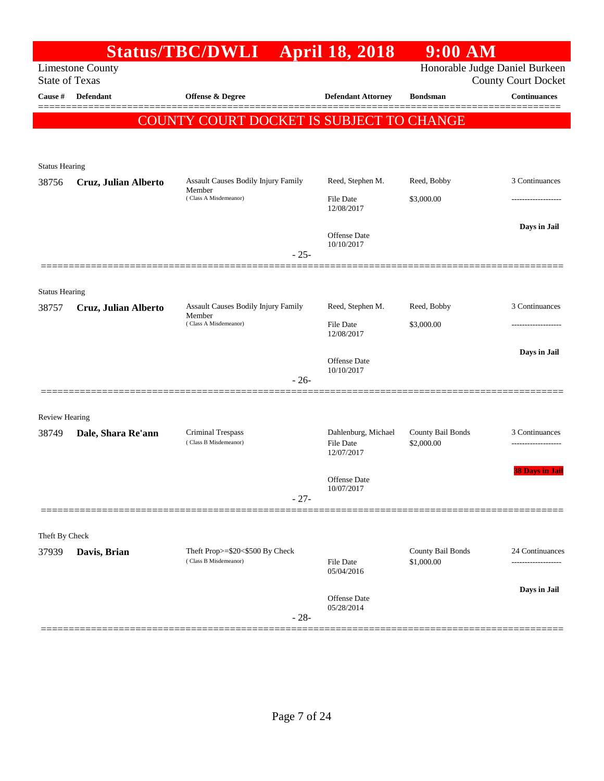|                       |                         | <b>Status/TBC/DWLI</b>                                   | <b>April 18, 2018</b>                   | $9:00$ AM                       |                                |
|-----------------------|-------------------------|----------------------------------------------------------|-----------------------------------------|---------------------------------|--------------------------------|
|                       | <b>Limestone County</b> |                                                          |                                         |                                 | Honorable Judge Daniel Burkeen |
| <b>State of Texas</b> |                         |                                                          |                                         |                                 | <b>County Court Docket</b>     |
| Cause #               | <b>Defendant</b>        | <b>Offense &amp; Degree</b>                              | <b>Defendant Attorney</b>               | <b>Bondsman</b>                 | <b>Continuances</b>            |
|                       |                         | COUNTY COURT DOCKET IS SUBJECT TO CHANGE                 |                                         |                                 |                                |
|                       |                         |                                                          |                                         |                                 |                                |
|                       |                         |                                                          |                                         |                                 |                                |
| <b>Status Hearing</b> |                         | Assault Causes Bodily Injury Family                      | Reed, Stephen M.                        | Reed, Bobby                     | 3 Continuances                 |
| 38756                 | Cruz, Julian Alberto    | Member<br>(Class A Misdemeanor)                          |                                         |                                 |                                |
|                       |                         |                                                          | <b>File Date</b><br>12/08/2017          | \$3,000.00                      |                                |
|                       |                         |                                                          |                                         |                                 | Days in Jail                   |
|                       |                         |                                                          | Offense Date<br>10/10/2017              |                                 |                                |
|                       |                         | $-25-$                                                   |                                         |                                 |                                |
|                       |                         |                                                          |                                         |                                 |                                |
| <b>Status Hearing</b> |                         |                                                          |                                         |                                 |                                |
| 38757                 | Cruz, Julian Alberto    | <b>Assault Causes Bodily Injury Family</b><br>Member     | Reed, Stephen M.                        | Reed, Bobby                     | 3 Continuances                 |
|                       |                         | (Class A Misdemeanor)                                    | <b>File Date</b><br>12/08/2017          | \$3,000.00                      |                                |
|                       |                         |                                                          |                                         |                                 | Days in Jail                   |
|                       |                         |                                                          | <b>Offense Date</b><br>10/10/2017       |                                 |                                |
|                       |                         | $-26-$                                                   |                                         |                                 |                                |
|                       |                         |                                                          |                                         |                                 |                                |
| <b>Review Hearing</b> |                         |                                                          |                                         |                                 |                                |
| 38749                 | Dale, Shara Re'ann      | <b>Criminal Trespass</b><br>(Class B Misdemeanor)        | Dahlenburg, Michael<br><b>File Date</b> | County Bail Bonds<br>\$2,000.00 | 3 Continuances                 |
|                       |                         |                                                          | 12/07/2017                              |                                 |                                |
|                       |                         |                                                          |                                         |                                 | <b>38 Days in Jail</b>         |
|                       |                         |                                                          | Offense Date<br>10/07/2017              |                                 |                                |
|                       |                         | $-27-$                                                   |                                         |                                 |                                |
|                       |                         |                                                          |                                         |                                 |                                |
| Theft By Check        |                         |                                                          |                                         |                                 |                                |
| 37939                 | Davis, Brian            | Theft Prop>=\$20<\$500 By Check<br>(Class B Misdemeanor) | <b>File Date</b>                        | County Bail Bonds<br>\$1,000.00 | 24 Continuances                |
|                       |                         |                                                          | 05/04/2016                              |                                 |                                |
|                       |                         |                                                          | Offense Date                            |                                 | Days in Jail                   |
|                       |                         |                                                          | 05/28/2014                              |                                 |                                |
|                       |                         | $-28-$                                                   |                                         |                                 |                                |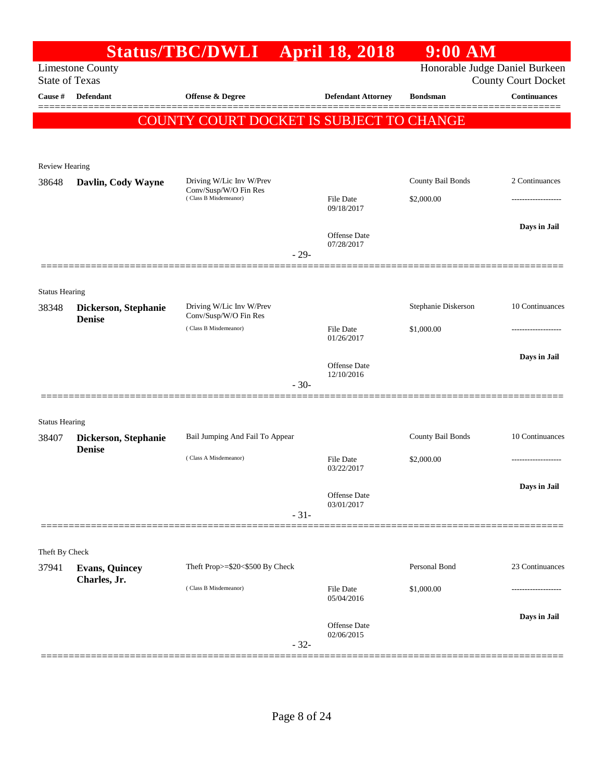|                       |                                        | <b>Status/TBC/DWLI</b>                            |        | <b>April 18, 2018</b>      | $9:00$ AM           |                                                              |
|-----------------------|----------------------------------------|---------------------------------------------------|--------|----------------------------|---------------------|--------------------------------------------------------------|
| <b>State of Texas</b> | <b>Limestone County</b>                |                                                   |        |                            |                     | Honorable Judge Daniel Burkeen<br><b>County Court Docket</b> |
| Cause #               | Defendant                              | <b>Offense &amp; Degree</b>                       |        | <b>Defendant Attorney</b>  | <b>Bondsman</b>     | <b>Continuances</b>                                          |
|                       |                                        | COUNTY COURT DOCKET IS SUBJECT TO CHANGE          |        |                            |                     |                                                              |
|                       |                                        |                                                   |        |                            |                     |                                                              |
| <b>Review Hearing</b> |                                        |                                                   |        |                            |                     |                                                              |
| 38648                 | Davlin, Cody Wayne                     | Driving W/Lic Inv W/Prev<br>Conv/Susp/W/O Fin Res |        |                            | County Bail Bonds   | 2 Continuances                                               |
|                       |                                        | (Class B Misdemeanor)                             |        | File Date<br>09/18/2017    | \$2,000.00          |                                                              |
|                       |                                        |                                                   |        | Offense Date               |                     | Days in Jail                                                 |
|                       |                                        |                                                   | $-29-$ | 07/28/2017                 |                     |                                                              |
| <b>Status Hearing</b> |                                        |                                                   |        |                            |                     |                                                              |
| 38348                 | Dickerson, Stephanie                   | Driving W/Lic Inv W/Prev<br>Conv/Susp/W/O Fin Res |        |                            | Stephanie Diskerson | 10 Continuances                                              |
|                       | <b>Denise</b><br>(Class B Misdemeanor) |                                                   |        | File Date<br>01/26/2017    | \$1,000.00          | .                                                            |
|                       |                                        |                                                   |        | Offense Date               |                     | Days in Jail                                                 |
|                       |                                        |                                                   | $-30-$ | 12/10/2016                 |                     |                                                              |
|                       |                                        |                                                   |        |                            |                     |                                                              |
| <b>Status Hearing</b> |                                        |                                                   |        |                            |                     |                                                              |
| 38407                 | Dickerson, Stephanie                   | Bail Jumping And Fail To Appear                   |        |                            | County Bail Bonds   | 10 Continuances                                              |
|                       | <b>Denise</b>                          | (Class A Misdemeanor)                             |        | File Date<br>03/22/2017    | \$2,000.00          |                                                              |
|                       |                                        |                                                   |        | Offense Date               |                     | Days in Jail                                                 |
|                       |                                        |                                                   | $-31-$ | 03/01/2017                 |                     |                                                              |
| Theft By Check        |                                        |                                                   |        |                            |                     |                                                              |
| 37941                 | <b>Evans, Quincey</b>                  | Theft Prop>=\$20<\$500 By Check                   |        |                            | Personal Bond       | 23 Continuances                                              |
|                       | Charles, Jr.                           | (Class B Misdemeanor)                             |        | File Date<br>05/04/2016    | \$1,000.00          | .                                                            |
|                       |                                        |                                                   |        | Offense Date<br>02/06/2015 |                     | Days in Jail                                                 |
|                       |                                        |                                                   | $-32-$ |                            |                     |                                                              |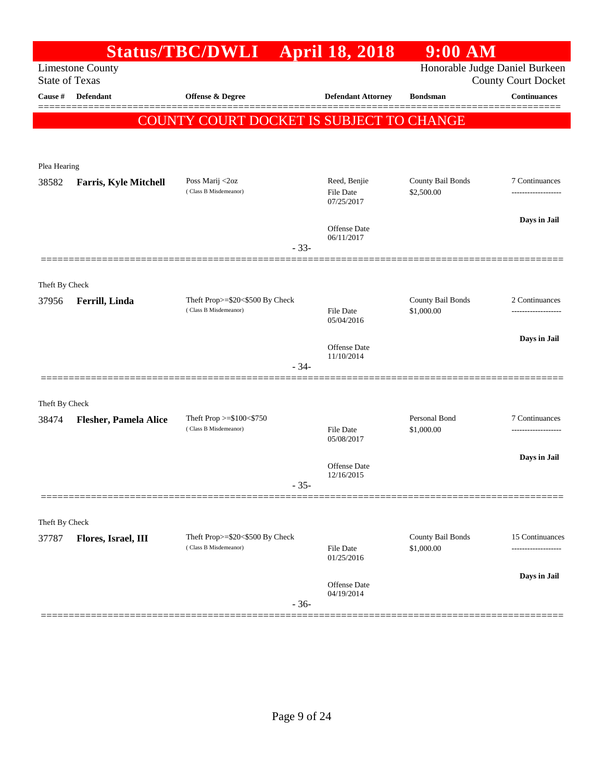|                         |                                                  | <b>Status/TBC/DWLI</b>                                   |        | <b>April 18, 2018</b>                   | $9:00$ AM                       |                                                              |
|-------------------------|--------------------------------------------------|----------------------------------------------------------|--------|-----------------------------------------|---------------------------------|--------------------------------------------------------------|
|                         | <b>Limestone County</b><br><b>State of Texas</b> |                                                          |        |                                         |                                 | Honorable Judge Daniel Burkeen<br><b>County Court Docket</b> |
| Cause #                 | Defendant                                        | Offense & Degree                                         |        | <b>Defendant Attorney</b>               | <b>Bondsman</b>                 | <b>Continuances</b>                                          |
|                         |                                                  | <b>COUNTY COURT DOCKET IS SUBJECT TO CHANGE</b>          |        |                                         |                                 |                                                              |
| Plea Hearing            |                                                  |                                                          |        |                                         |                                 |                                                              |
| 38582                   | <b>Farris, Kyle Mitchell</b>                     | Poss Marij <2oz<br>(Class B Misdemeanor)                 |        | Reed, Benjie<br>File Date<br>07/25/2017 | County Bail Bonds<br>\$2,500.00 | 7 Continuances                                               |
|                         |                                                  |                                                          | $-33-$ | Offense Date<br>06/11/2017              |                                 | Days in Jail                                                 |
|                         |                                                  |                                                          |        |                                         |                                 |                                                              |
| Theft By Check<br>37956 | Ferrill, Linda                                   | Theft Prop>=\$20<\$500 By Check<br>(Class B Misdemeanor) |        | <b>File Date</b><br>05/04/2016          | County Bail Bonds<br>\$1,000.00 | 2 Continuances                                               |
|                         |                                                  |                                                          | $-34-$ | Offense Date<br>11/10/2014              |                                 | Days in Jail                                                 |
|                         |                                                  |                                                          |        |                                         |                                 |                                                              |
| Theft By Check<br>38474 | <b>Flesher, Pamela Alice</b>                     | Theft Prop $>=$ \$100 $<$ \$750<br>(Class B Misdemeanor) |        | <b>File Date</b><br>05/08/2017          | Personal Bond<br>\$1,000.00     | 7 Continuances                                               |
|                         |                                                  |                                                          | $35 -$ | Offense Date<br>12/16/2015              |                                 | Days in Jail                                                 |
|                         |                                                  |                                                          |        |                                         |                                 |                                                              |
| Theft By Check<br>37787 | Flores, Israel, III                              | Theft Prop>=\$20<\$500 By Check<br>(Class B Misdemeanor) |        | File Date<br>01/25/2016                 | County Bail Bonds<br>\$1,000.00 | 15 Continuances                                              |
|                         |                                                  |                                                          | $-36-$ | Offense Date<br>04/19/2014              |                                 | Days in Jail                                                 |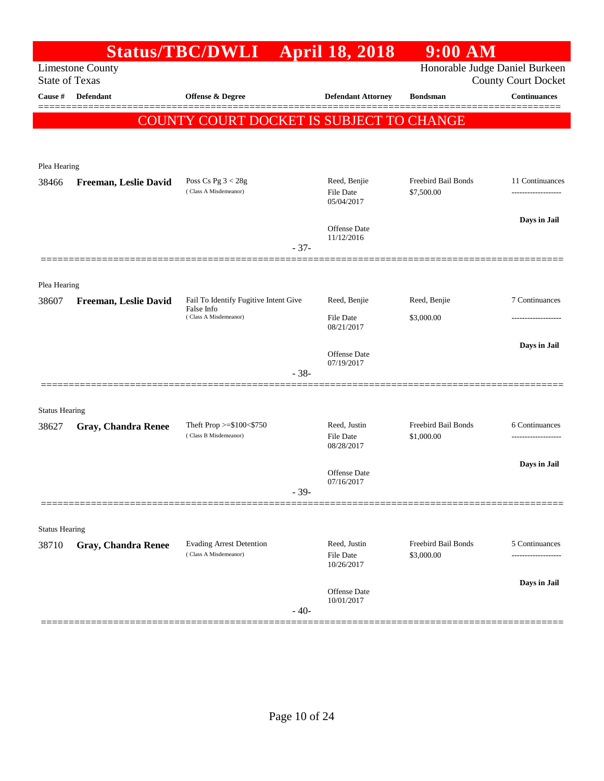|                                |                            | <b>Status/TBC/DWLI</b>                                   |        | <b>April 18, 2018</b>                   | $9:00$ AM                         |                                                              |
|--------------------------------|----------------------------|----------------------------------------------------------|--------|-----------------------------------------|-----------------------------------|--------------------------------------------------------------|
| <b>State of Texas</b>          | <b>Limestone County</b>    |                                                          |        |                                         |                                   | Honorable Judge Daniel Burkeen<br><b>County Court Docket</b> |
| Cause #                        | <b>Defendant</b>           | <b>Offense &amp; Degree</b>                              |        | <b>Defendant Attorney</b>               | <b>Bondsman</b>                   | <b>Continuances</b>                                          |
|                                |                            | COUNTY COURT DOCKET IS SUBJECT TO CHANGE                 |        |                                         |                                   |                                                              |
|                                |                            |                                                          |        |                                         |                                   |                                                              |
| Plea Hearing                   |                            |                                                          |        |                                         |                                   |                                                              |
| 38466                          | Freeman, Leslie David      | Poss Cs Pg $3 < 28g$<br>(Class A Misdemeanor)            |        | Reed, Benjie<br>File Date<br>05/04/2017 | Freebird Bail Bonds<br>\$7,500.00 | 11 Continuances                                              |
|                                |                            |                                                          |        | Offense Date                            |                                   | Days in Jail                                                 |
|                                |                            |                                                          | $-37-$ | 11/12/2016                              |                                   |                                                              |
|                                |                            |                                                          |        |                                         |                                   |                                                              |
| Plea Hearing<br>38607          | Freeman, Leslie David      | Fail To Identify Fugitive Intent Give                    |        | Reed, Benjie                            | Reed, Benjie                      | 7 Continuances                                               |
|                                |                            | False Info<br>(Class A Misdemeanor)                      |        | <b>File Date</b><br>08/21/2017          | \$3,000.00                        |                                                              |
|                                |                            |                                                          |        |                                         |                                   | Days in Jail                                                 |
|                                |                            |                                                          |        | Offense Date<br>07/19/2017              |                                   |                                                              |
|                                |                            |                                                          | $-38-$ |                                         |                                   |                                                              |
|                                |                            |                                                          |        |                                         |                                   |                                                              |
| <b>Status Hearing</b><br>38627 | <b>Gray, Chandra Renee</b> | Theft Prop $>=$ \$100 $<$ \$750                          |        | Reed, Justin                            | Freebird Bail Bonds               | 6 Continuances                                               |
|                                |                            | (Class B Misdemeanor)                                    |        | <b>File Date</b><br>08/28/2017          | \$1,000.00                        |                                                              |
|                                |                            |                                                          |        | Offense Date                            |                                   | Days in Jail                                                 |
|                                |                            |                                                          | $-39-$ | 07/16/2017                              |                                   |                                                              |
|                                |                            |                                                          |        |                                         |                                   |                                                              |
| <b>Status Hearing</b>          |                            |                                                          |        |                                         |                                   |                                                              |
| 38710                          | Gray, Chandra Renee        | <b>Evading Arrest Detention</b><br>(Class A Misdemeanor) |        | Reed, Justin<br>File Date<br>10/26/2017 | Freebird Bail Bonds<br>\$3,000.00 | 5 Continuances<br>------------------                         |
|                                |                            |                                                          |        |                                         |                                   | Days in Jail                                                 |
|                                |                            |                                                          | $-40-$ | <b>Offense</b> Date<br>10/01/2017       |                                   |                                                              |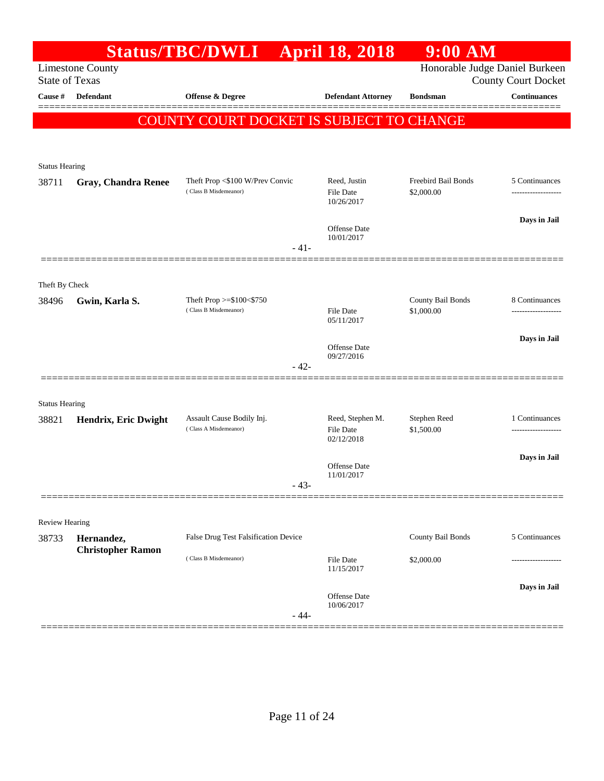|                            |                                                                                                        |                                                                                                                     | $9:00$ AM                                                                                                                                                                         |                                                                                                                                                  |
|----------------------------|--------------------------------------------------------------------------------------------------------|---------------------------------------------------------------------------------------------------------------------|-----------------------------------------------------------------------------------------------------------------------------------------------------------------------------------|--------------------------------------------------------------------------------------------------------------------------------------------------|
| <b>Limestone County</b>    |                                                                                                        |                                                                                                                     |                                                                                                                                                                                   | <b>County Court Docket</b>                                                                                                                       |
| Defendant                  | <b>Offense &amp; Degree</b>                                                                            | <b>Defendant Attorney</b>                                                                                           | <b>Bondsman</b>                                                                                                                                                                   | <b>Continuances</b>                                                                                                                              |
|                            |                                                                                                        |                                                                                                                     |                                                                                                                                                                                   | ========                                                                                                                                         |
|                            |                                                                                                        |                                                                                                                     |                                                                                                                                                                                   |                                                                                                                                                  |
| <b>Status Hearing</b>      |                                                                                                        |                                                                                                                     |                                                                                                                                                                                   |                                                                                                                                                  |
| <b>Gray, Chandra Renee</b> | Theft Prop <\$100 W/Prev Convic<br>(Class B Misdemeanor)                                               | Reed, Justin                                                                                                        | Freebird Bail Bonds                                                                                                                                                               | 5 Continuances                                                                                                                                   |
|                            |                                                                                                        | 10/26/2017                                                                                                          |                                                                                                                                                                                   |                                                                                                                                                  |
|                            |                                                                                                        | Offense Date                                                                                                        |                                                                                                                                                                                   | Days in Jail                                                                                                                                     |
|                            |                                                                                                        |                                                                                                                     |                                                                                                                                                                                   |                                                                                                                                                  |
|                            |                                                                                                        |                                                                                                                     |                                                                                                                                                                                   |                                                                                                                                                  |
| Gwin, Karla S.             | Theft Prop >=\$100<\$750                                                                               |                                                                                                                     | County Bail Bonds                                                                                                                                                                 | 8 Continuances                                                                                                                                   |
|                            |                                                                                                        | 05/11/2017                                                                                                          |                                                                                                                                                                                   |                                                                                                                                                  |
|                            |                                                                                                        | Offense Date                                                                                                        |                                                                                                                                                                                   | Days in Jail                                                                                                                                     |
|                            |                                                                                                        |                                                                                                                     |                                                                                                                                                                                   |                                                                                                                                                  |
|                            |                                                                                                        |                                                                                                                     |                                                                                                                                                                                   |                                                                                                                                                  |
|                            |                                                                                                        |                                                                                                                     | Stephen Reed                                                                                                                                                                      | 1 Continuances                                                                                                                                   |
|                            | (Class A Misdemeanor)                                                                                  | File Date<br>02/12/2018                                                                                             | \$1,500.00                                                                                                                                                                        |                                                                                                                                                  |
|                            |                                                                                                        |                                                                                                                     |                                                                                                                                                                                   | Days in Jail                                                                                                                                     |
|                            | 43-                                                                                                    | 11/01/2017                                                                                                          |                                                                                                                                                                                   |                                                                                                                                                  |
|                            |                                                                                                        |                                                                                                                     |                                                                                                                                                                                   |                                                                                                                                                  |
| Review Hearing             |                                                                                                        |                                                                                                                     |                                                                                                                                                                                   |                                                                                                                                                  |
| <b>Christopher Ramon</b>   |                                                                                                        |                                                                                                                     |                                                                                                                                                                                   | 5 Continuances                                                                                                                                   |
|                            |                                                                                                        | 11/15/2017                                                                                                          |                                                                                                                                                                                   |                                                                                                                                                  |
|                            |                                                                                                        | Offense Date                                                                                                        |                                                                                                                                                                                   | Days in Jail                                                                                                                                     |
|                            |                                                                                                        | 10/06/2017                                                                                                          |                                                                                                                                                                                   |                                                                                                                                                  |
|                            | <b>State of Texas</b><br>Theft By Check<br><b>Status Hearing</b><br>Hendrix, Eric Dwight<br>Hernandez, | (Class B Misdemeanor)<br>Assault Cause Bodily Inj.<br>False Drug Test Falsification Device<br>(Class B Misdemeanor) | Status/TBC/DWLI April 18, 2018<br><b>File Date</b><br>10/01/2017<br>$-41-$<br><b>File Date</b><br>09/27/2016<br>$-42-$<br>Reed, Stephen M.<br>Offense Date<br>File Date<br>$-44-$ | Honorable Judge Daniel Burkeen<br><b>COUNTY COURT DOCKET IS SUBJECT TO CHANGE</b><br>\$2,000.00<br>\$1,000.00<br>County Bail Bonds<br>\$2,000.00 |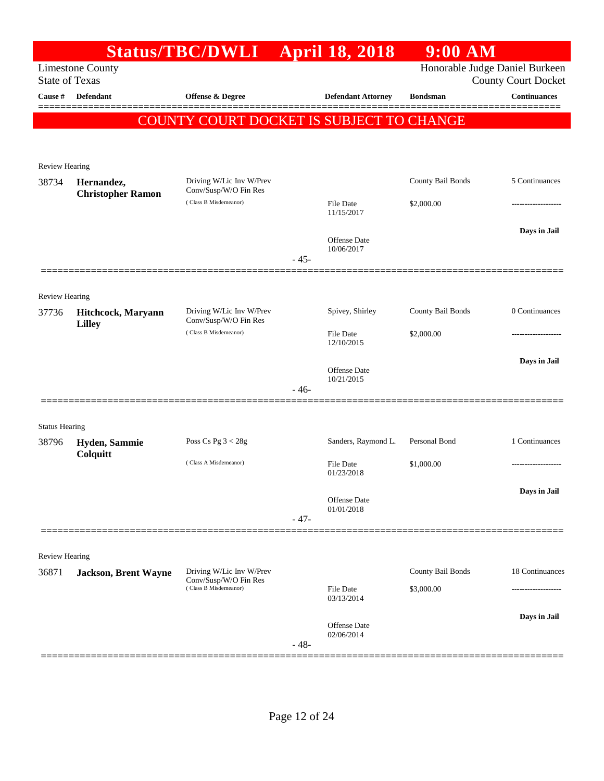|                                |                                        | <b>Status/TBC/DWLI</b>                            |        | <b>April 18, 2018</b>             | $9:00$ AM         |                                                              |
|--------------------------------|----------------------------------------|---------------------------------------------------|--------|-----------------------------------|-------------------|--------------------------------------------------------------|
| <b>State of Texas</b>          | <b>Limestone County</b>                |                                                   |        |                                   |                   | Honorable Judge Daniel Burkeen<br><b>County Court Docket</b> |
| Cause #                        | <b>Defendant</b>                       | Offense & Degree                                  |        | <b>Defendant Attorney</b>         | <b>Bondsman</b>   | <b>Continuances</b>                                          |
|                                |                                        | COUNTY COURT DOCKET IS SUBJECT TO CHANGE          |        |                                   |                   |                                                              |
| <b>Review Hearing</b>          |                                        |                                                   |        |                                   |                   |                                                              |
| 38734                          | Hernandez,<br><b>Christopher Ramon</b> | Driving W/Lic Inv W/Prev<br>Conv/Susp/W/O Fin Res |        |                                   | County Bail Bonds | 5 Continuances                                               |
|                                |                                        | (Class B Misdemeanor)                             |        | <b>File Date</b><br>11/15/2017    | \$2,000.00        |                                                              |
|                                |                                        |                                                   |        | <b>Offense Date</b><br>10/06/2017 |                   | Days in Jail                                                 |
|                                |                                        |                                                   | $-45-$ |                                   |                   |                                                              |
| <b>Review Hearing</b><br>37736 | Hitchcock, Maryann                     | Driving W/Lic Inv W/Prev                          |        | Spivey, Shirley                   | County Bail Bonds | 0 Continuances                                               |
|                                | <b>Lilley</b>                          | Conv/Susp/W/O Fin Res<br>(Class B Misdemeanor)    |        | <b>File Date</b><br>12/10/2015    | \$2,000.00        |                                                              |
|                                |                                        |                                                   |        | <b>Offense Date</b>               |                   | Days in Jail                                                 |
|                                |                                        |                                                   | $-46-$ | 10/21/2015                        |                   |                                                              |
| <b>Status Hearing</b>          |                                        |                                                   |        |                                   |                   |                                                              |
| 38796                          | Hyden, Sammie<br>Colquitt              | Poss Cs Pg $3 < 28g$                              |        | Sanders, Raymond L.               | Personal Bond     | 1 Continuances                                               |
|                                |                                        | (Class A Misdemeanor)                             |        | <b>File Date</b><br>01/23/2018    | \$1,000.00        | .                                                            |
|                                |                                        |                                                   |        | Offense Date<br>01/01/2018        |                   | Days in Jail                                                 |
|                                |                                        |                                                   | $-47-$ |                                   |                   |                                                              |
| <b>Review Hearing</b>          |                                        |                                                   |        |                                   |                   |                                                              |
| 36871                          | <b>Jackson, Brent Wayne</b>            | Driving W/Lic Inv W/Prev<br>Conv/Susp/W/O Fin Res |        |                                   | County Bail Bonds | 18 Continuances                                              |
|                                |                                        | (Class B Misdemeanor)                             |        | <b>File Date</b><br>03/13/2014    | \$3,000.00        | .                                                            |
|                                |                                        |                                                   | $-48-$ | Offense Date<br>02/06/2014        |                   | Days in Jail                                                 |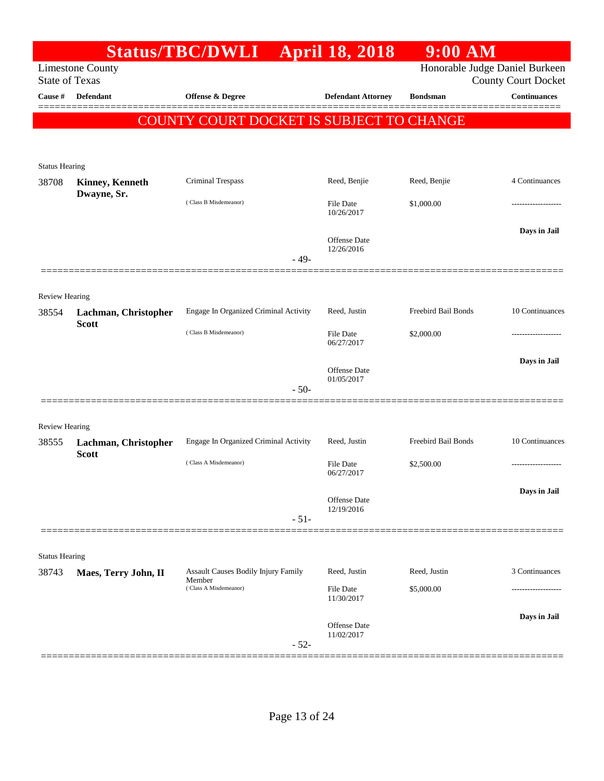|                                |                                                  | Status/TBC/DWLI April 18, 2018           |                                   | 9:00 AM                        |                            |
|--------------------------------|--------------------------------------------------|------------------------------------------|-----------------------------------|--------------------------------|----------------------------|
|                                | <b>Limestone County</b><br><b>State of Texas</b> |                                          |                                   | Honorable Judge Daniel Burkeen | <b>County Court Docket</b> |
| Cause #                        | <b>Defendant</b>                                 | <b>Offense &amp; Degree</b>              | <b>Defendant Attorney</b>         | <b>Bondsman</b>                | <b>Continuances</b>        |
|                                |                                                  |                                          |                                   |                                |                            |
|                                |                                                  | COUNTY COURT DOCKET IS SUBJECT TO CHANGE |                                   |                                |                            |
|                                |                                                  |                                          |                                   |                                |                            |
| <b>Status Hearing</b>          |                                                  |                                          |                                   |                                |                            |
| 38708                          | <b>Kinney, Kenneth</b><br>Dwayne, Sr.            | Criminal Trespass                        | Reed, Benjie                      | Reed, Benjie                   | 4 Continuances             |
|                                |                                                  | (Class B Misdemeanor)                    | File Date<br>10/26/2017           | \$1,000.00                     |                            |
|                                |                                                  |                                          |                                   |                                | Days in Jail               |
|                                |                                                  |                                          | <b>Offense Date</b><br>12/26/2016 |                                |                            |
|                                |                                                  | $-49-$                                   |                                   |                                |                            |
| Review Hearing                 |                                                  |                                          |                                   |                                |                            |
| 38554                          | Lachman, Christopher                             | Engage In Organized Criminal Activity    | Reed, Justin                      | Freebird Bail Bonds            | 10 Continuances            |
|                                | <b>Scott</b>                                     | (Class B Misdemeanor)                    | <b>File Date</b><br>06/27/2017    | \$2,000.00                     |                            |
|                                |                                                  |                                          |                                   |                                | Days in Jail               |
|                                |                                                  |                                          | <b>Offense Date</b><br>01/05/2017 |                                |                            |
|                                |                                                  | $-50-$                                   |                                   |                                |                            |
|                                |                                                  |                                          |                                   |                                |                            |
| <b>Review Hearing</b><br>38555 | Lachman, Christopher                             | Engage In Organized Criminal Activity    | Reed, Justin                      | Freebird Bail Bonds            | 10 Continuances            |
|                                | <b>Scott</b>                                     | (Class A Misdemeanor)                    | <b>File Date</b>                  | \$2,500.00                     | -------------------        |
|                                |                                                  |                                          | 06/27/2017                        |                                |                            |
|                                |                                                  |                                          | <b>Offense Date</b>               |                                | Days in Jail               |
|                                |                                                  | $-51-$                                   | 12/19/2016                        |                                |                            |
|                                |                                                  |                                          |                                   |                                |                            |
| <b>Status Hearing</b>          |                                                  |                                          |                                   |                                |                            |
| 38743                          | Maes, Terry John, II                             | Assault Causes Bodily Injury Family      | Reed, Justin                      | Reed, Justin                   | 3 Continuances             |
|                                |                                                  | Member<br>(Class A Misdemeanor)          | <b>File Date</b><br>11/30/2017    | \$5,000.00                     |                            |
|                                |                                                  |                                          |                                   |                                | Days in Jail               |
|                                |                                                  |                                          | Offense Date<br>11/02/2017        |                                |                            |
|                                |                                                  | $-52-$                                   |                                   |                                |                            |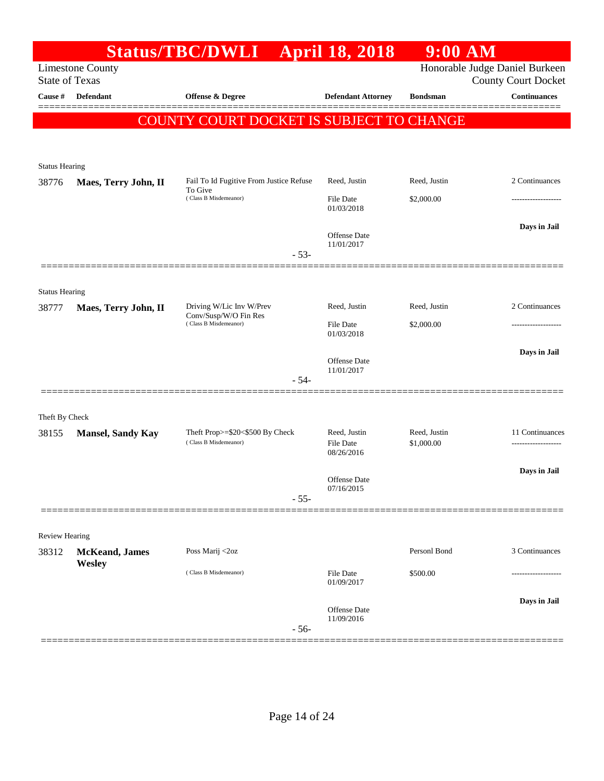|                       |                          | <b>Status/TBC/DWLI</b>                            | <b>April 18, 2018</b>             | $9:00$ AM                      |                            |
|-----------------------|--------------------------|---------------------------------------------------|-----------------------------------|--------------------------------|----------------------------|
| <b>State of Texas</b> | <b>Limestone County</b>  |                                                   |                                   | Honorable Judge Daniel Burkeen | <b>County Court Docket</b> |
| Cause #               | <b>Defendant</b>         | <b>Offense &amp; Degree</b>                       | <b>Defendant Attorney</b>         | <b>Bondsman</b>                | <b>Continuances</b>        |
|                       |                          | COUNTY COURT DOCKET IS SUBJECT TO CHANGE          |                                   |                                | ======                     |
|                       |                          |                                                   |                                   |                                |                            |
|                       |                          |                                                   |                                   |                                |                            |
| <b>Status Hearing</b> |                          | Fail To Id Fugitive From Justice Refuse           | Reed, Justin                      | Reed, Justin                   | 2 Continuances             |
| 38776                 | Maes, Terry John, II     | To Give<br>(Class B Misdemeanor)                  | <b>File Date</b>                  | \$2,000.00                     | ------------------         |
|                       |                          |                                                   | 01/03/2018                        |                                |                            |
|                       |                          |                                                   | <b>Offense Date</b>               |                                | Days in Jail               |
|                       |                          | $-53-$                                            | 11/01/2017                        |                                |                            |
|                       |                          |                                                   |                                   |                                |                            |
| <b>Status Hearing</b> |                          |                                                   |                                   |                                |                            |
| 38777                 | Maes, Terry John, II     | Driving W/Lic Inv W/Prev<br>Conv/Susp/W/O Fin Res | Reed, Justin                      | Reed, Justin                   | 2 Continuances             |
|                       |                          | (Class B Misdemeanor)                             | <b>File Date</b><br>01/03/2018    | \$2,000.00                     |                            |
|                       |                          |                                                   |                                   |                                | Days in Jail               |
|                       |                          |                                                   | <b>Offense Date</b><br>11/01/2017 |                                |                            |
|                       |                          | $-54-$                                            |                                   |                                |                            |
|                       |                          |                                                   |                                   |                                |                            |
| Theft By Check        |                          | Theft Prop>=\$20<\$500 By Check                   | Reed, Justin                      | Reed, Justin                   | 11 Continuances            |
| 38155                 | <b>Mansel, Sandy Kay</b> | (Class B Misdemeanor)                             | <b>File Date</b>                  | \$1,000.00                     | -----------------          |
|                       |                          |                                                   | 08/26/2016                        |                                | Days in Jail               |
|                       |                          |                                                   | <b>Offense Date</b><br>07/16/2015 |                                |                            |
|                       |                          | $-55-$                                            |                                   |                                |                            |
|                       |                          |                                                   |                                   |                                |                            |
| <b>Review Hearing</b> |                          |                                                   |                                   |                                |                            |
| 38312                 | McKeand, James<br>Wesley | Poss Marij <2oz                                   |                                   | Personl Bond                   | 3 Continuances             |
|                       |                          | (Class B Misdemeanor)                             | <b>File Date</b><br>01/09/2017    | \$500.00                       |                            |
|                       |                          |                                                   |                                   |                                | Days in Jail               |
|                       |                          |                                                   | <b>Offense Date</b><br>11/09/2016 |                                |                            |
|                       |                          | $-56-$                                            |                                   |                                |                            |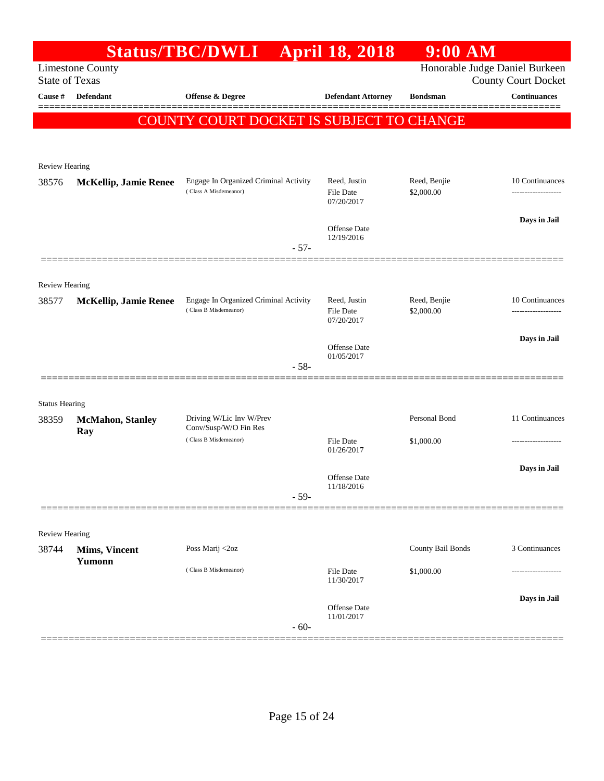|                                | <b>Limestone County</b>        | Status/TBC/DWLI                                                | <b>April 18, 2018</b>                   | $9:00$ AM                  | Honorable Judge Daniel Burkeen |
|--------------------------------|--------------------------------|----------------------------------------------------------------|-----------------------------------------|----------------------------|--------------------------------|
| <b>State of Texas</b>          |                                |                                                                |                                         |                            | <b>County Court Docket</b>     |
| Cause #                        | Defendant                      | Offense & Degree                                               | <b>Defendant Attorney</b>               | <b>Bondsman</b>            | <b>Continuances</b>            |
|                                |                                | COUNTY COURT DOCKET IS SUBJECT TO CHANGE                       |                                         |                            |                                |
|                                |                                |                                                                |                                         |                            |                                |
| Review Hearing                 |                                |                                                                |                                         |                            |                                |
| 38576                          | <b>McKellip, Jamie Renee</b>   | Engage In Organized Criminal Activity<br>(Class A Misdemeanor) | Reed, Justin<br>File Date<br>07/20/2017 | Reed, Benjie<br>\$2,000.00 | 10 Continuances<br>            |
|                                |                                | $-57-$                                                         | Offense Date<br>12/19/2016              |                            | Days in Jail                   |
|                                |                                |                                                                |                                         |                            |                                |
| <b>Review Hearing</b>          |                                |                                                                |                                         |                            |                                |
| 38577                          | <b>McKellip, Jamie Renee</b>   | Engage In Organized Criminal Activity<br>(Class B Misdemeanor) | Reed, Justin<br>File Date<br>07/20/2017 | Reed, Benjie<br>\$2,000.00 | 10 Continuances                |
|                                |                                |                                                                | Offense Date<br>01/05/2017              |                            | Days in Jail                   |
|                                |                                | $-58-$                                                         |                                         |                            |                                |
|                                |                                |                                                                |                                         |                            |                                |
| <b>Status Hearing</b><br>38359 | <b>McMahon</b> , Stanley       | Driving W/Lic Inv W/Prev                                       |                                         | Personal Bond              | 11 Continuances                |
|                                | Ray                            | Conv/Susp/W/O Fin Res<br>(Class B Misdemeanor)                 | File Date                               | \$1,000.00                 | .                              |
|                                |                                |                                                                | 01/26/2017                              |                            |                                |
|                                |                                |                                                                | Offense Date                            |                            | Days in Jail                   |
|                                |                                | $-59-$                                                         | 11/18/2016                              |                            |                                |
|                                |                                |                                                                |                                         |                            |                                |
| Review Hearing                 |                                |                                                                |                                         |                            |                                |
| 38744                          | <b>Mims, Vincent</b><br>Yumonn | Poss Marij <2oz                                                |                                         | County Bail Bonds          | 3 Continuances                 |
|                                |                                | (Class B Misdemeanor)                                          | File Date<br>11/30/2017                 | \$1,000.00                 | .                              |
|                                |                                | $-60-$                                                         | Offense Date<br>11/01/2017              |                            | Days in Jail                   |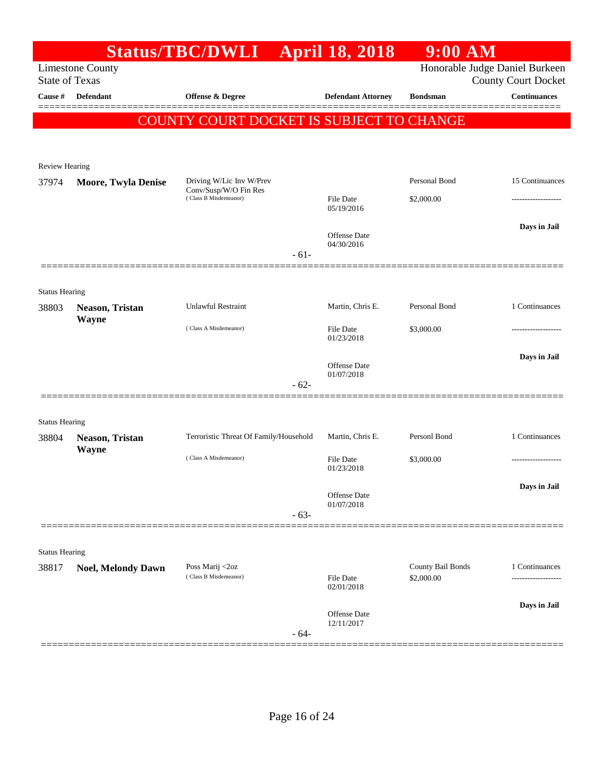|                                |                            | <b>Status/TBC/DWLI</b>                         | <b>April 18, 2018</b>          | 9:00 AM           |                                                              |
|--------------------------------|----------------------------|------------------------------------------------|--------------------------------|-------------------|--------------------------------------------------------------|
| <b>State of Texas</b>          | <b>Limestone County</b>    |                                                |                                |                   | Honorable Judge Daniel Burkeen<br><b>County Court Docket</b> |
| Cause #                        | <b>Defendant</b>           | Offense & Degree                               | <b>Defendant Attorney</b>      | <b>Bondsman</b>   | <b>Continuances</b>                                          |
|                                |                            | COUNTY COURT DOCKET IS SUBJECT TO CHANGE       |                                |                   |                                                              |
|                                |                            |                                                |                                |                   |                                                              |
|                                |                            |                                                |                                |                   |                                                              |
| <b>Review Hearing</b>          |                            | Driving W/Lic Inv W/Prev                       |                                | Personal Bond     | 15 Continuances                                              |
| 37974                          | <b>Moore, Twyla Denise</b> | Conv/Susp/W/O Fin Res<br>(Class B Misdemeanor) |                                |                   |                                                              |
|                                |                            |                                                | File Date<br>05/19/2016        | \$2,000.00        |                                                              |
|                                |                            |                                                | Offense Date                   |                   | Days in Jail                                                 |
|                                |                            |                                                | 04/30/2016                     |                   |                                                              |
|                                |                            | $-61-$                                         |                                |                   |                                                              |
|                                |                            |                                                |                                |                   |                                                              |
| <b>Status Hearing</b><br>38803 | Neason, Tristan            | <b>Unlawful Restraint</b>                      | Martin, Chris E.               | Personal Bond     | 1 Continuances                                               |
|                                | Wayne                      |                                                |                                |                   |                                                              |
|                                |                            | (Class A Misdemeanor)                          | <b>File Date</b><br>01/23/2018 | \$3,000.00        |                                                              |
|                                |                            |                                                |                                |                   | Days in Jail                                                 |
|                                |                            |                                                | Offense Date<br>01/07/2018     |                   |                                                              |
|                                |                            | $-62-$                                         |                                |                   |                                                              |
|                                |                            |                                                |                                |                   |                                                              |
| <b>Status Hearing</b>          |                            |                                                |                                |                   |                                                              |
| 38804                          | Neason, Tristan            | Terroristic Threat Of Family/Household         | Martin, Chris E.               | Personl Bond      | 1 Continuances                                               |
|                                | Wayne                      | (Class A Misdemeanor)                          | <b>File Date</b>               | \$3,000.00        | .                                                            |
|                                |                            |                                                | 01/23/2018                     |                   |                                                              |
|                                |                            |                                                | Offense Date                   |                   | Days in Jail                                                 |
|                                |                            | $-63-$                                         | 01/07/2018                     |                   |                                                              |
|                                |                            |                                                |                                |                   |                                                              |
| <b>Status Hearing</b>          |                            |                                                |                                |                   |                                                              |
| 38817                          | <b>Noel, Melondy Dawn</b>  | Poss Marij <2oz                                |                                | County Bail Bonds | 1 Continuances                                               |
|                                |                            | (Class B Misdemeanor)                          | File Date<br>02/01/2018        | \$2,000.00        |                                                              |
|                                |                            |                                                |                                |                   | Days in Jail                                                 |
|                                |                            |                                                | Offense Date<br>12/11/2017     |                   |                                                              |
|                                |                            | $-64-$                                         |                                |                   |                                                              |
|                                |                            |                                                |                                |                   |                                                              |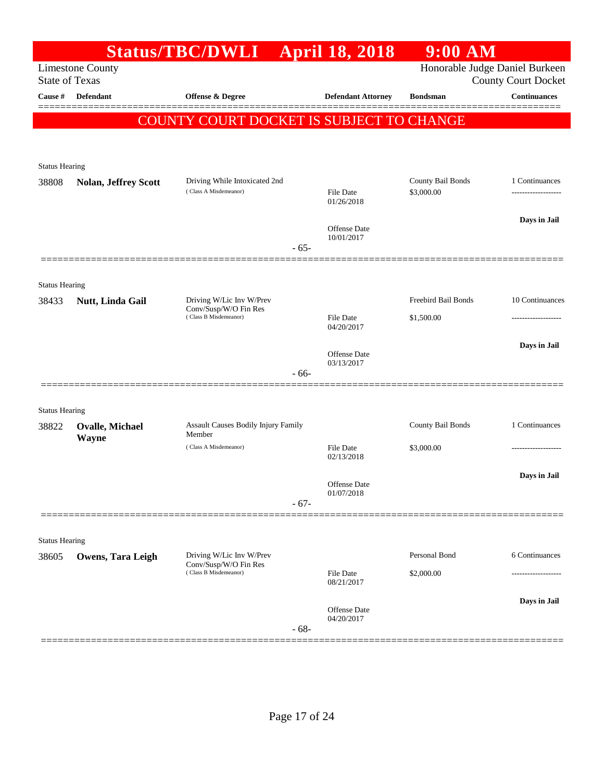|                                |                             | Status/TBC/DWLI April 18, 2018                         |        |                                | $9:00$ AM                       |                                                              |
|--------------------------------|-----------------------------|--------------------------------------------------------|--------|--------------------------------|---------------------------------|--------------------------------------------------------------|
| <b>State of Texas</b>          | <b>Limestone County</b>     |                                                        |        |                                |                                 | Honorable Judge Daniel Burkeen<br><b>County Court Docket</b> |
| Cause #                        | <b>Defendant</b>            | <b>Offense &amp; Degree</b>                            |        | <b>Defendant Attorney</b>      | <b>Bondsman</b>                 | <b>Continuances</b>                                          |
|                                |                             | <b>COUNTY COURT DOCKET IS SUBJECT TO CHANGE</b>        |        |                                |                                 | ========                                                     |
|                                |                             |                                                        |        |                                |                                 |                                                              |
|                                |                             |                                                        |        |                                |                                 |                                                              |
| <b>Status Hearing</b>          |                             |                                                        |        |                                |                                 |                                                              |
| 38808                          | <b>Nolan, Jeffrey Scott</b> | Driving While Intoxicated 2nd<br>(Class A Misdemeanor) |        | File Date<br>01/26/2018        | County Bail Bonds<br>\$3,000.00 | 1 Continuances                                               |
|                                |                             |                                                        |        |                                |                                 | Days in Jail                                                 |
|                                |                             |                                                        | $-65-$ | Offense Date<br>10/01/2017     |                                 |                                                              |
|                                |                             |                                                        |        |                                |                                 |                                                              |
| <b>Status Hearing</b><br>38433 | Nutt, Linda Gail            | Driving W/Lic Inv W/Prev                               |        |                                | Freebird Bail Bonds             | 10 Continuances                                              |
|                                |                             | Conv/Susp/W/O Fin Res<br>(Class B Misdemeanor)         |        | File Date                      | \$1,500.00                      | .                                                            |
|                                |                             |                                                        |        | 04/20/2017                     |                                 |                                                              |
|                                |                             |                                                        |        | <b>Offense Date</b>            |                                 | Days in Jail                                                 |
|                                |                             |                                                        | $-66-$ | 03/13/2017                     |                                 |                                                              |
|                                |                             |                                                        |        |                                |                                 |                                                              |
| <b>Status Hearing</b>          |                             |                                                        |        |                                |                                 |                                                              |
| 38822                          | <b>Ovalle, Michael</b>      | Assault Causes Bodily Injury Family<br>Member          |        |                                | County Bail Bonds               | 1 Continuances                                               |
|                                | <b>Wayne</b>                | (Class A Misdemeanor)                                  |        | File Date                      | \$3,000.00                      |                                                              |
|                                |                             |                                                        |        | 02/13/2018                     |                                 |                                                              |
|                                |                             |                                                        |        | Offense Date                   |                                 | Days in Jail                                                 |
|                                |                             |                                                        | $-67-$ | 01/07/2018                     |                                 |                                                              |
|                                |                             |                                                        |        |                                |                                 |                                                              |
| <b>Status Hearing</b>          |                             |                                                        |        |                                |                                 |                                                              |
| 38605                          | <b>Owens, Tara Leigh</b>    | Driving W/Lic Inv W/Prev<br>Conv/Susp/W/O Fin Res      |        |                                | Personal Bond                   | 6 Continuances                                               |
|                                |                             | (Class B Misdemeanor)                                  |        | <b>File Date</b><br>08/21/2017 | \$2,000.00                      |                                                              |
|                                |                             |                                                        | $-68-$ | Offense Date<br>04/20/2017     |                                 | Days in Jail                                                 |
|                                |                             |                                                        |        |                                |                                 |                                                              |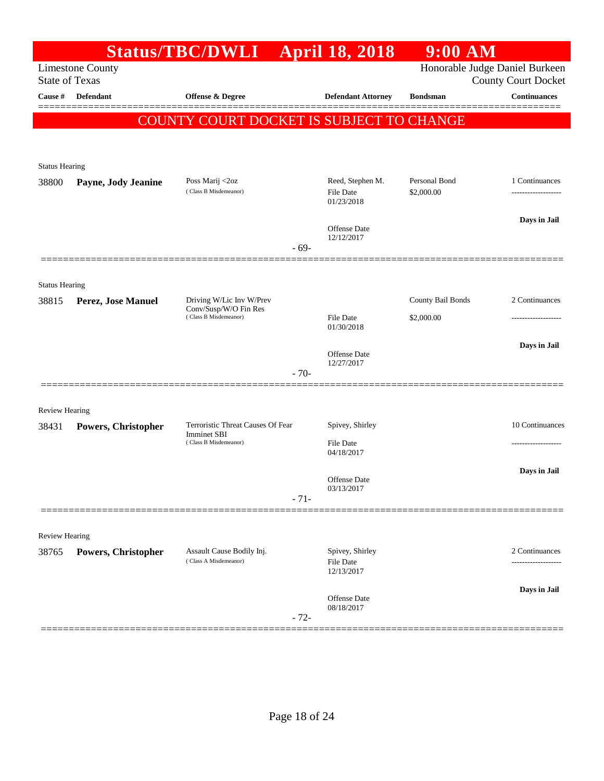|                       |                            | <b>Status/TBC/DWLI</b>                                  |        | <b>April 18, 2018</b>                       | $9:00$ AM                   |                                                       |
|-----------------------|----------------------------|---------------------------------------------------------|--------|---------------------------------------------|-----------------------------|-------------------------------------------------------|
| <b>State of Texas</b> | <b>Limestone County</b>    |                                                         |        |                                             |                             | Honorable Judge Daniel Burkeen<br>County Court Docket |
| Cause #               | <b>Defendant</b>           | <b>Offense &amp; Degree</b>                             |        | <b>Defendant Attorney</b>                   | <b>Bondsman</b>             | <b>Continuances</b>                                   |
|                       |                            | COUNTY COURT DOCKET IS SUBJECT TO CHANGE                |        |                                             |                             |                                                       |
|                       |                            |                                                         |        |                                             |                             |                                                       |
| <b>Status Hearing</b> |                            |                                                         |        |                                             |                             |                                                       |
| 38800                 | Payne, Jody Jeanine        | Poss Marij <2oz<br>(Class B Misdemeanor)                |        | Reed, Stephen M.<br>File Date<br>01/23/2018 | Personal Bond<br>\$2,000.00 | 1 Continuances<br>.                                   |
|                       |                            |                                                         |        |                                             |                             | Days in Jail                                          |
|                       |                            |                                                         | $-69-$ | Offense Date<br>12/12/2017                  |                             |                                                       |
|                       |                            |                                                         |        |                                             |                             |                                                       |
| <b>Status Hearing</b> |                            |                                                         |        |                                             |                             |                                                       |
| 38815                 | Perez, Jose Manuel         | Driving W/Lic Inv W/Prev<br>Conv/Susp/W/O Fin Res       |        |                                             | County Bail Bonds           | 2 Continuances                                        |
|                       |                            | (Class B Misdemeanor)                                   |        | <b>File Date</b><br>01/30/2018              | \$2,000.00                  |                                                       |
|                       |                            |                                                         |        | <b>Offense Date</b>                         |                             | Days in Jail                                          |
|                       |                            |                                                         | $-70-$ | 12/27/2017                                  |                             |                                                       |
| <b>Review Hearing</b> |                            |                                                         |        |                                             |                             |                                                       |
| 38431                 | Powers, Christopher        | Terroristic Threat Causes Of Fear<br><b>Imminet SBI</b> |        | Spivey, Shirley                             |                             | 10 Continuances                                       |
|                       |                            | (Class B Misdemeanor)                                   |        | <b>File Date</b><br>04/18/2017              |                             |                                                       |
|                       |                            |                                                         |        | Offense Date                                |                             | Days in Jail                                          |
|                       |                            |                                                         | $-71-$ | 03/13/2017                                  |                             |                                                       |
| <b>Review Hearing</b> |                            |                                                         |        |                                             |                             |                                                       |
| 38765                 | <b>Powers, Christopher</b> | Assault Cause Bodily Inj.<br>(Class A Misdemeanor)      |        | Spivey, Shirley<br><b>File Date</b>         |                             | 2 Continuances                                        |
|                       |                            |                                                         |        | 12/13/2017                                  |                             | Days in Jail                                          |
|                       |                            |                                                         | $-72-$ | <b>Offense Date</b><br>08/18/2017           |                             |                                                       |
|                       |                            |                                                         |        |                                             |                             |                                                       |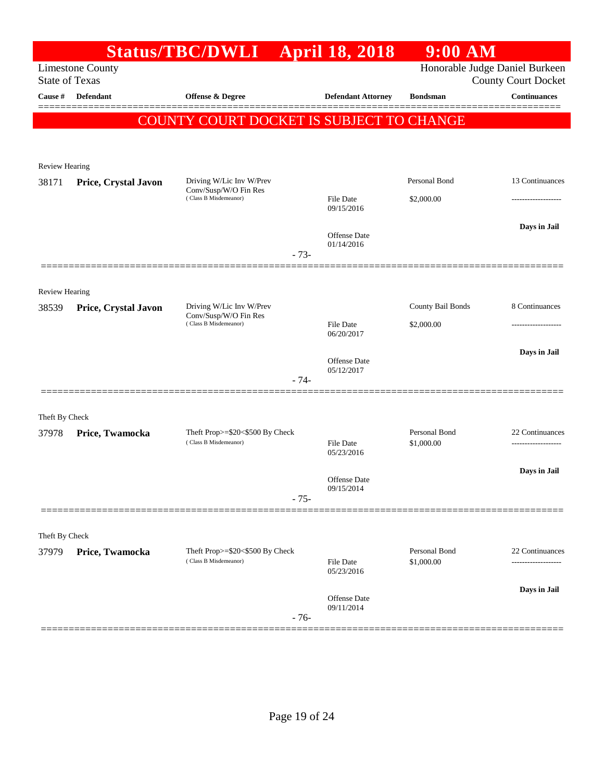|                         |                         | <b>Status/TBC/DWLI</b>                         |        | <b>April 18, 2018</b>      | $9:00$ AM                |                                |
|-------------------------|-------------------------|------------------------------------------------|--------|----------------------------|--------------------------|--------------------------------|
|                         | <b>Limestone County</b> |                                                |        |                            |                          | Honorable Judge Daniel Burkeen |
| <b>State of Texas</b>   | <b>Defendant</b>        |                                                |        |                            |                          | <b>County Court Docket</b>     |
| Cause #                 |                         | <b>Offense &amp; Degree</b>                    |        | <b>Defendant Attorney</b>  | <b>Bondsman</b>          | <b>Continuances</b>            |
|                         |                         | COUNTY COURT DOCKET IS SUBJECT TO CHANGE       |        |                            |                          |                                |
|                         |                         |                                                |        |                            |                          |                                |
| <b>Review Hearing</b>   |                         |                                                |        |                            |                          |                                |
| 38171                   | Price, Crystal Javon    | Driving W/Lic Inv W/Prev                       |        |                            | Personal Bond            | 13 Continuances                |
|                         |                         | Conv/Susp/W/O Fin Res<br>(Class B Misdemeanor) |        | <b>File Date</b>           | \$2,000.00               |                                |
|                         |                         |                                                |        | 09/15/2016                 |                          |                                |
|                         |                         |                                                |        | Offense Date               |                          | Days in Jail                   |
|                         |                         |                                                | $-73-$ | 01/14/2016                 |                          |                                |
|                         |                         |                                                |        |                            |                          |                                |
|                         |                         |                                                |        |                            |                          |                                |
| Review Hearing<br>38539 | Price, Crystal Javon    | Driving W/Lic Inv W/Prev                       |        |                            | <b>County Bail Bonds</b> | 8 Continuances                 |
|                         |                         | Conv/Susp/W/O Fin Res<br>(Class B Misdemeanor) |        | <b>File Date</b>           | \$2,000.00               |                                |
|                         |                         |                                                |        | 06/20/2017                 |                          |                                |
|                         |                         |                                                |        | <b>Offense Date</b>        |                          | Days in Jail                   |
|                         |                         |                                                |        | 05/12/2017                 |                          |                                |
|                         |                         |                                                | $-74-$ |                            |                          |                                |
|                         |                         |                                                |        |                            |                          |                                |
| Theft By Check          |                         | Theft Prop>=\$20<\$500 By Check                |        |                            | Personal Bond            | 22 Continuances                |
| 37978                   | Price, Twamocka         | (Class B Misdemeanor)                          |        | <b>File Date</b>           | \$1,000.00               | -------------------            |
|                         |                         |                                                |        | 05/23/2016                 |                          |                                |
|                         |                         |                                                |        | <b>Offense Date</b>        |                          | Days in Jail                   |
|                         |                         |                                                | $-75-$ | 09/15/2014                 |                          |                                |
|                         |                         |                                                |        |                            |                          |                                |
| Theft By Check          |                         |                                                |        |                            |                          |                                |
| 37979                   | Price, Twamocka         | Theft Prop>=\$20<\$500 By Check                |        |                            | Personal Bond            | 22 Continuances                |
|                         |                         | (Class B Misdemeanor)                          |        | File Date<br>05/23/2016    | \$1,000.00               |                                |
|                         |                         |                                                |        |                            |                          | Days in Jail                   |
|                         |                         |                                                |        | Offense Date<br>09/11/2014 |                          |                                |
|                         |                         |                                                | $-76-$ |                            |                          |                                |
|                         |                         |                                                |        |                            |                          |                                |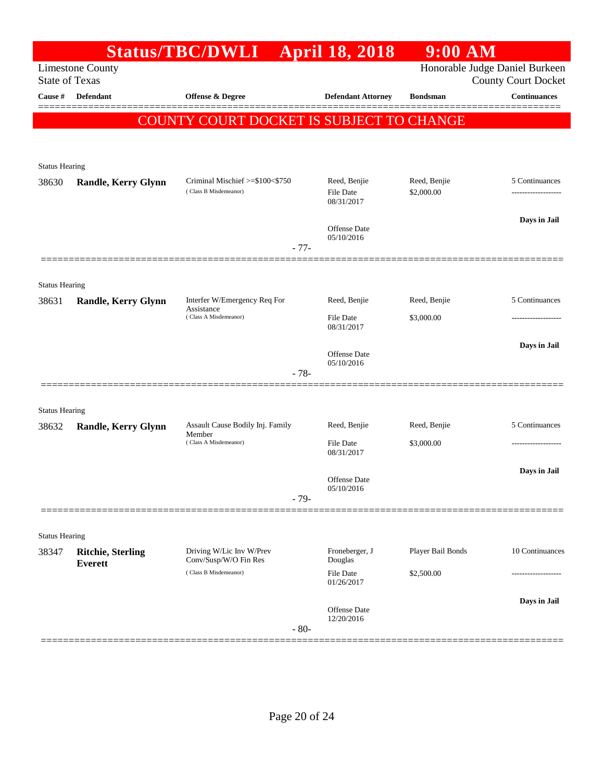|                                  |                                            | <b>Status/TBC/DWLI</b>                            | <b>April 18, 2018</b>             | 9:00 AM           |                                                   |
|----------------------------------|--------------------------------------------|---------------------------------------------------|-----------------------------------|-------------------|---------------------------------------------------|
|                                  | <b>Limestone County</b>                    |                                                   |                                   |                   | Honorable Judge Daniel Burkeen                    |
| <b>State of Texas</b><br>Cause # | Defendant                                  | Offense & Degree                                  | <b>Defendant Attorney</b>         | <b>Bondsman</b>   | <b>County Court Docket</b><br><b>Continuances</b> |
|                                  |                                            |                                                   |                                   |                   |                                                   |
|                                  |                                            | COUNTY COURT DOCKET IS SUBJECT TO CHANGE          |                                   |                   |                                                   |
|                                  |                                            |                                                   |                                   |                   |                                                   |
| <b>Status Hearing</b>            |                                            |                                                   |                                   |                   |                                                   |
| 38630                            | <b>Randle, Kerry Glynn</b>                 | Criminal Mischief >=\$100<\$750                   | Reed, Benjie                      | Reed, Benjie      | 5 Continuances                                    |
|                                  |                                            | (Class B Misdemeanor)                             | File Date<br>08/31/2017           | \$2,000.00        |                                                   |
|                                  |                                            |                                                   |                                   |                   | Days in Jail                                      |
|                                  |                                            |                                                   | Offense Date<br>05/10/2016        |                   |                                                   |
|                                  |                                            | $-77-$                                            |                                   |                   |                                                   |
|                                  |                                            |                                                   |                                   |                   |                                                   |
| <b>Status Hearing</b><br>38631   | <b>Randle, Kerry Glynn</b>                 | Interfer W/Emergency Req For                      | Reed, Benjie                      | Reed, Benjie      | 5 Continuances                                    |
|                                  |                                            | Assistance<br>(Class A Misdemeanor)               | <b>File Date</b>                  | \$3,000.00        | .                                                 |
|                                  |                                            |                                                   | 08/31/2017                        |                   |                                                   |
|                                  |                                            |                                                   | <b>Offense Date</b>               |                   | Days in Jail                                      |
|                                  |                                            | $-78-$                                            | 05/10/2016                        |                   |                                                   |
|                                  |                                            |                                                   |                                   |                   |                                                   |
| <b>Status Hearing</b>            |                                            |                                                   |                                   |                   |                                                   |
| 38632                            | <b>Randle, Kerry Glynn</b>                 | Assault Cause Bodily Inj. Family<br>Member        | Reed, Benjie                      | Reed, Benjie      | 5 Continuances                                    |
|                                  |                                            | (Class A Misdemeanor)                             | File Date<br>08/31/2017           | \$3,000.00        |                                                   |
|                                  |                                            |                                                   |                                   |                   | Days in Jail                                      |
|                                  |                                            |                                                   | <b>Offense Date</b><br>05/10/2016 |                   |                                                   |
|                                  |                                            | $-79-$                                            |                                   |                   |                                                   |
|                                  |                                            |                                                   |                                   |                   |                                                   |
| <b>Status Hearing</b>            |                                            |                                                   |                                   |                   |                                                   |
| 38347                            | <b>Ritchie, Sterling</b><br><b>Everett</b> | Driving W/Lic Inv W/Prev<br>Conv/Susp/W/O Fin Res | Froneberger, J<br>Douglas         | Player Bail Bonds | 10 Continuances                                   |
|                                  |                                            | (Class B Misdemeanor)                             | <b>File Date</b><br>01/26/2017    | \$2,500.00        |                                                   |
|                                  |                                            |                                                   |                                   |                   | Days in Jail                                      |
|                                  |                                            |                                                   | Offense Date<br>12/20/2016        |                   |                                                   |
|                                  |                                            | $-80-$                                            |                                   |                   |                                                   |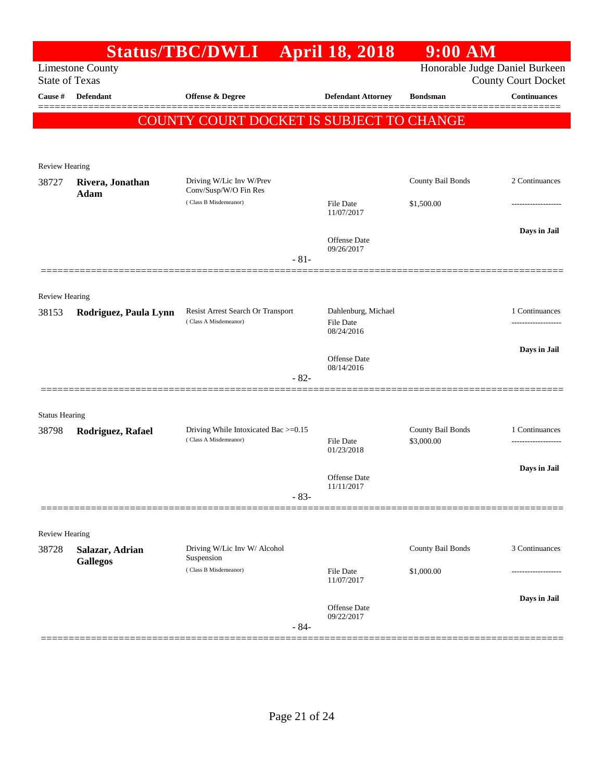|                       |                                           | Status/TBC/DWLI April 18, 2018                             |                                  | $9:00$ AM                      |                                                          |
|-----------------------|-------------------------------------------|------------------------------------------------------------|----------------------------------|--------------------------------|----------------------------------------------------------|
|                       | <b>Limestone County</b>                   |                                                            |                                  | Honorable Judge Daniel Burkeen |                                                          |
| Cause #               | <b>State of Texas</b><br><b>Defendant</b> | Offense & Degree                                           | <b>Defendant Attorney</b>        | <b>Bondsman</b>                | <b>County Court Docket</b><br>$\label{1.1}$ Continuances |
|                       |                                           |                                                            |                                  |                                |                                                          |
|                       |                                           | COUNTY COURT DOCKET IS SUBJECT TO CHANGE                   |                                  |                                |                                                          |
|                       |                                           |                                                            |                                  |                                |                                                          |
| Review Hearing        |                                           |                                                            |                                  |                                |                                                          |
| 38727                 | Rivera, Jonathan                          | Driving W/Lic Inv W/Prev                                   |                                  | County Bail Bonds              | 2 Continuances                                           |
|                       | Adam                                      | Conv/Susp/W/O Fin Res<br>(Class B Misdemeanor)             | File Date                        | \$1,500.00                     | .                                                        |
|                       |                                           |                                                            | 11/07/2017                       |                                |                                                          |
|                       |                                           |                                                            |                                  |                                | Days in Jail                                             |
|                       |                                           |                                                            | Offense Date<br>09/26/2017       |                                |                                                          |
|                       |                                           | $-81-$                                                     |                                  |                                |                                                          |
|                       |                                           |                                                            |                                  |                                |                                                          |
| Review Hearing        |                                           |                                                            |                                  |                                |                                                          |
| 38153                 | Rodriguez, Paula Lynn                     | Resist Arrest Search Or Transport<br>(Class A Misdemeanor) | Dahlenburg, Michael<br>File Date |                                | 1 Continuances                                           |
|                       |                                           |                                                            | 08/24/2016                       |                                |                                                          |
|                       |                                           |                                                            | Offense Date                     |                                | Days in Jail                                             |
|                       |                                           | $-82-$                                                     | 08/14/2016                       |                                |                                                          |
|                       |                                           |                                                            |                                  |                                |                                                          |
| <b>Status Hearing</b> |                                           |                                                            |                                  |                                |                                                          |
| 38798                 | Rodriguez, Rafael                         | Driving While Intoxicated Bac >=0.15                       |                                  | County Bail Bonds              | 1 Continuances                                           |
|                       |                                           | (Class A Misdemeanor)                                      | File Date<br>01/23/2018          | \$3,000.00                     |                                                          |
|                       |                                           |                                                            |                                  |                                |                                                          |
|                       |                                           |                                                            | Offense Date                     |                                | Days in Jail                                             |
|                       |                                           | $-83-$                                                     | 11/11/2017                       |                                |                                                          |
|                       |                                           |                                                            |                                  |                                |                                                          |
| <b>Review Hearing</b> |                                           |                                                            |                                  |                                |                                                          |
| 38728                 | Salazar, Adrian                           | Driving W/Lic Inv W/ Alcohol                               |                                  | County Bail Bonds              | 3 Continuances                                           |
|                       | <b>Gallegos</b>                           | Suspension<br>(Class B Misdemeanor)                        | File Date                        | \$1,000.00                     |                                                          |
|                       |                                           |                                                            | 11/07/2017                       |                                |                                                          |
|                       |                                           |                                                            | <b>Offense Date</b>              |                                | Days in Jail                                             |
|                       |                                           |                                                            | 09/22/2017                       |                                |                                                          |
|                       |                                           | $-84-$                                                     |                                  |                                |                                                          |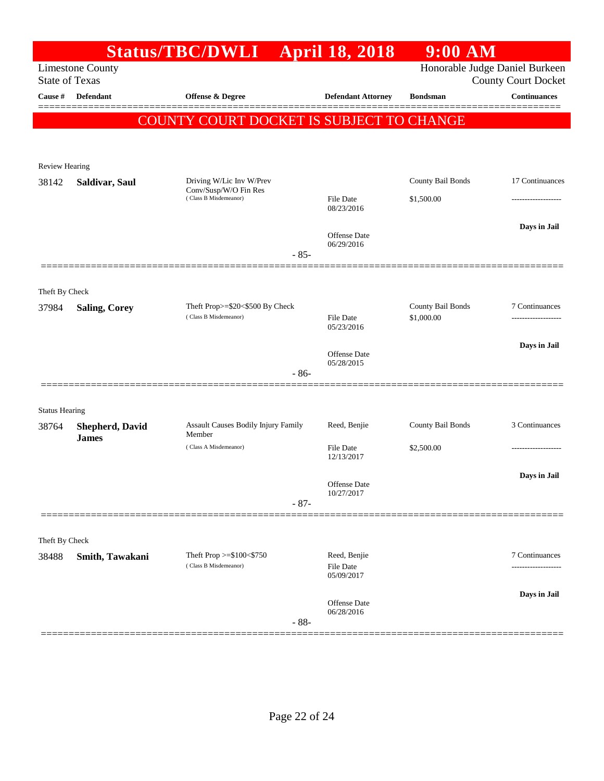|                       |                                        | <b>Status/TBC/DWLI</b>                                   | <b>April 18, 2018</b>                   | 9:00 AM                         |                                                              |
|-----------------------|----------------------------------------|----------------------------------------------------------|-----------------------------------------|---------------------------------|--------------------------------------------------------------|
| <b>State of Texas</b> | <b>Limestone County</b>                |                                                          |                                         |                                 | Honorable Judge Daniel Burkeen<br><b>County Court Docket</b> |
| Cause #               | Defendant                              | <b>Offense &amp; Degree</b>                              | <b>Defendant Attorney</b>               | <b>Bondsman</b>                 | <b>Continuances</b>                                          |
|                       |                                        | COUNTY COURT DOCKET IS SUBJECT TO CHANGE                 |                                         |                                 |                                                              |
|                       |                                        |                                                          |                                         |                                 |                                                              |
| <b>Review Hearing</b> |                                        |                                                          |                                         |                                 |                                                              |
| 38142                 | Saldivar, Saul                         | Driving W/Lic Inv W/Prev<br>Conv/Susp/W/O Fin Res        |                                         | County Bail Bonds               | 17 Continuances                                              |
|                       |                                        | (Class B Misdemeanor)                                    | <b>File Date</b><br>08/23/2016          | \$1,500.00                      |                                                              |
|                       |                                        |                                                          | Offense Date<br>06/29/2016              |                                 | Days in Jail                                                 |
|                       |                                        | $-85-$                                                   |                                         |                                 |                                                              |
| Theft By Check        |                                        |                                                          |                                         |                                 |                                                              |
| 37984                 | <b>Saling, Corey</b>                   | Theft Prop>=\$20<\$500 By Check<br>(Class B Misdemeanor) | File Date<br>05/23/2016                 | County Bail Bonds<br>\$1,000.00 | 7 Continuances                                               |
|                       |                                        |                                                          |                                         |                                 | Days in Jail                                                 |
|                       |                                        | $-86-$                                                   | Offense Date<br>05/28/2015              |                                 |                                                              |
|                       |                                        |                                                          |                                         |                                 |                                                              |
| <b>Status Hearing</b> |                                        |                                                          |                                         |                                 |                                                              |
| 38764                 | <b>Shepherd, David</b><br><b>James</b> | Assault Causes Bodily Injury Family<br>Member            | Reed, Benjie                            | County Bail Bonds               | 3 Continuances                                               |
|                       |                                        | (Class A Misdemeanor)                                    | File Date<br>12/13/2017                 | \$2,500.00                      |                                                              |
|                       |                                        |                                                          | <b>Offense Date</b>                     |                                 | Days in Jail                                                 |
|                       |                                        | $-87-$                                                   | 10/27/2017                              |                                 |                                                              |
|                       |                                        |                                                          |                                         |                                 |                                                              |
| Theft By Check        |                                        |                                                          |                                         |                                 |                                                              |
| 38488                 | Smith, Tawakani                        | Theft Prop >=\$100<\$750<br>(Class B Misdemeanor)        | Reed, Benjie<br>File Date<br>05/09/2017 |                                 | 7 Continuances                                               |
|                       |                                        |                                                          | Offense Date                            |                                 | Days in Jail                                                 |
|                       |                                        | $-88-$                                                   | 06/28/2016                              |                                 |                                                              |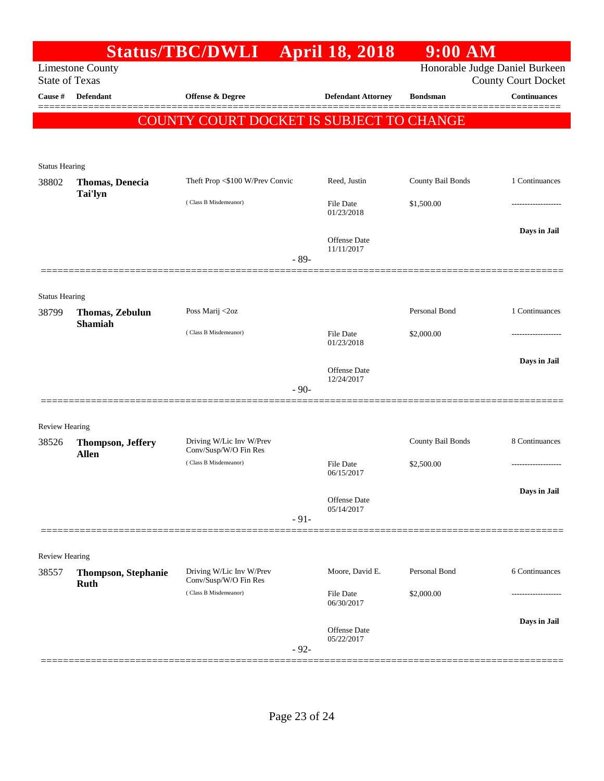|                                |                                           | <b>Status/TBC/DWLI</b>                            |        | <b>April 18, 2018</b>             | $9:00$ AM         |                                                              |
|--------------------------------|-------------------------------------------|---------------------------------------------------|--------|-----------------------------------|-------------------|--------------------------------------------------------------|
| <b>State of Texas</b>          | <b>Limestone County</b>                   |                                                   |        |                                   |                   | Honorable Judge Daniel Burkeen<br><b>County Court Docket</b> |
| Cause #                        | <b>Defendant</b>                          | <b>Offense &amp; Degree</b>                       |        | <b>Defendant Attorney</b>         | <b>Bondsman</b>   | <b>Continuances</b>                                          |
|                                |                                           | COUNTY COURT DOCKET IS SUBJECT TO CHANGE          |        |                                   |                   |                                                              |
|                                |                                           |                                                   |        |                                   |                   |                                                              |
|                                |                                           |                                                   |        |                                   |                   |                                                              |
| <b>Status Hearing</b><br>38802 | <b>Thomas, Denecia</b>                    | Theft Prop <\$100 W/Prev Convic                   |        | Reed, Justin                      | County Bail Bonds | 1 Continuances                                               |
|                                | <b>Tai'lyn</b>                            |                                                   |        |                                   |                   |                                                              |
|                                |                                           | (Class B Misdemeanor)                             |        | <b>File Date</b><br>01/23/2018    | \$1,500.00        |                                                              |
|                                |                                           |                                                   |        |                                   |                   | Days in Jail                                                 |
|                                |                                           |                                                   |        | Offense Date<br>11/11/2017        |                   |                                                              |
|                                |                                           |                                                   | $-89-$ |                                   |                   |                                                              |
|                                |                                           |                                                   |        |                                   |                   |                                                              |
| <b>Status Hearing</b><br>38799 | Thomas, Zebulun                           | Poss Marij <2oz                                   |        |                                   | Personal Bond     | 1 Continuances                                               |
|                                | <b>Shamiah</b>                            | (Class B Misdemeanor)                             |        |                                   |                   |                                                              |
|                                |                                           |                                                   |        | <b>File Date</b><br>01/23/2018    | \$2,000.00        |                                                              |
|                                |                                           |                                                   |        | <b>Offense</b> Date               |                   | Days in Jail                                                 |
|                                |                                           |                                                   | $-90-$ | 12/24/2017                        |                   |                                                              |
|                                |                                           |                                                   |        |                                   |                   |                                                              |
| <b>Review Hearing</b>          |                                           |                                                   |        |                                   |                   |                                                              |
| 38526                          | <b>Thompson, Jeffery</b>                  | Driving W/Lic Inv W/Prev                          |        |                                   | County Bail Bonds | 8 Continuances                                               |
|                                | <b>Allen</b>                              | Conv/Susp/W/O Fin Res<br>(Class B Misdemeanor)    |        | <b>File Date</b>                  | \$2,500.00        |                                                              |
|                                |                                           |                                                   |        | 06/15/2017                        |                   |                                                              |
|                                |                                           |                                                   |        | <b>Offense</b> Date               |                   | Days in Jail                                                 |
|                                |                                           |                                                   | $-91-$ | 05/14/2017                        |                   |                                                              |
|                                |                                           |                                                   |        |                                   |                   |                                                              |
| Review Hearing                 |                                           |                                                   |        |                                   |                   |                                                              |
| 38557                          | <b>Thompson, Stephanie</b><br><b>Ruth</b> | Driving W/Lic Inv W/Prev<br>Conv/Susp/W/O Fin Res |        | Moore, David E.                   | Personal Bond     | 6 Continuances                                               |
|                                |                                           | (Class B Misdemeanor)                             |        | <b>File Date</b><br>06/30/2017    | \$2,000.00        |                                                              |
|                                |                                           |                                                   |        |                                   |                   | Days in Jail                                                 |
|                                |                                           |                                                   |        | <b>Offense</b> Date<br>05/22/2017 |                   |                                                              |
|                                |                                           |                                                   | $-92-$ |                                   |                   |                                                              |